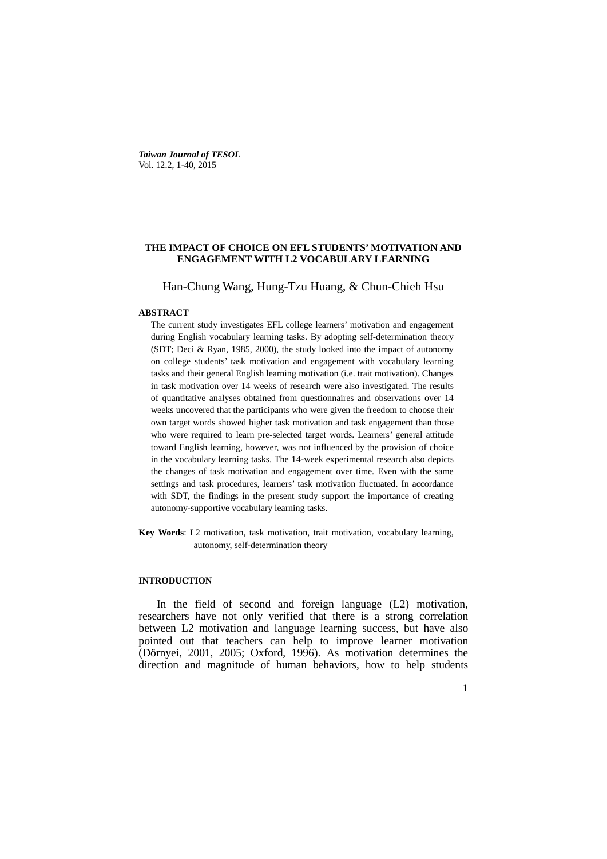*Taiwan Journal of TESOL* Vol. 12.2, 1-40, 2015

#### **THE IMPACT OF CHOICE ON EFL STUDENTS' MOTIVATION AND ENGAGEMENT WITH L2 VOCABULARY LEARNING**

#### Han-Chung Wang, Hung-Tzu Huang, & Chun-Chieh Hsu

#### **ABSTRACT**

The current study investigates EFL college learners' motivation and engagement during English vocabulary learning tasks. By adopting self-determination theory (SDT; Deci & Ryan, 1985, 2000), the study looked into the impact of autonomy on college students' task motivation and engagement with vocabulary learning tasks and their general English learning motivation (i.e. trait motivation). Changes in task motivation over 14 weeks of research were also investigated. The results of quantitative analyses obtained from questionnaires and observations over 14 weeks uncovered that the participants who were given the freedom to choose their own target words showed higher task motivation and task engagement than those who were required to learn pre-selected target words. Learners' general attitude toward English learning, however, was not influenced by the provision of choice in the vocabulary learning tasks. The 14-week experimental research also depicts the changes of task motivation and engagement over time. Even with the same settings and task procedures, learners' task motivation fluctuated. In accordance with SDT, the findings in the present study support the importance of creating autonomy-supportive vocabulary learning tasks.

**Key Words**: L2 motivation, task motivation, trait motivation, vocabulary learning, autonomy, self-determination theory

#### **INTRODUCTION**

In the field of second and foreign language (L2) motivation, researchers have not only verified that there is a strong correlation between L2 motivation and language learning success, but have also pointed out that teachers can help to improve learner motivation (Dörnyei, 2001, 2005; Oxford, 1996). As motivation determines the direction and magnitude of human behaviors, how to help students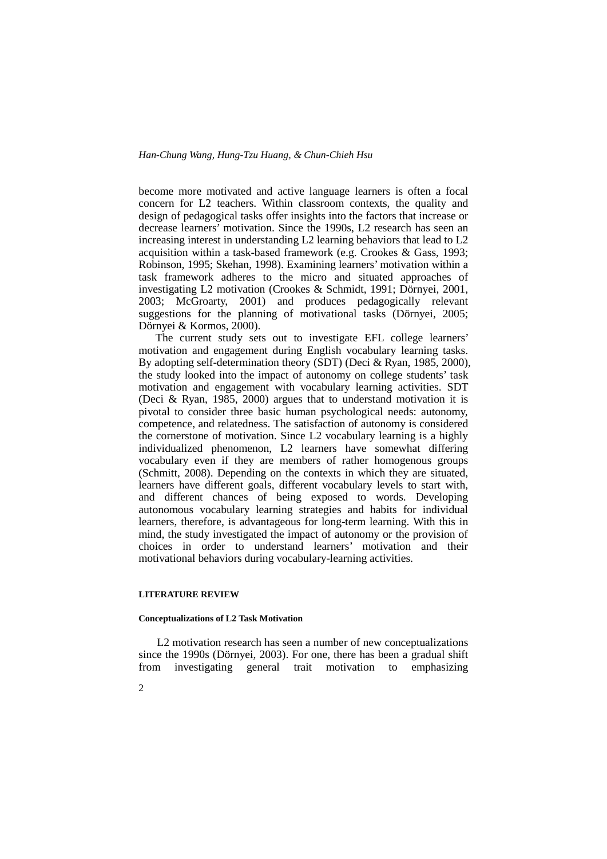become more motivated and active language learners is often a focal concern for L2 teachers. Within classroom contexts, the quality and design of pedagogical tasks offer insights into the factors that increase or decrease learners' motivation. Since the 1990s, L2 research has seen an increasing interest in understanding L2 learning behaviors that lead to L2 acquisition within a task-based framework (e.g. Crookes & Gass, 1993; Robinson, 1995; Skehan, 1998). Examining learners' motivation within a task framework adheres to the micro and situated approaches of investigating L2 motivation (Crookes & Schmidt, 1991; Dörnyei, 2001, 2003; McGroarty, 2001) and produces pedagogically relevant suggestions for the planning of motivational tasks (Dörnyei, 2005; Dörnyei & Kormos, 2000).

The current study sets out to investigate EFL college learners' motivation and engagement during English vocabulary learning tasks. By adopting self-determination theory (SDT) (Deci & Ryan, 1985, 2000), the study looked into the impact of autonomy on college students' task motivation and engagement with vocabulary learning activities. SDT (Deci & Ryan, 1985, 2000) argues that to understand motivation it is pivotal to consider three basic human psychological needs: autonomy, competence, and relatedness. The satisfaction of autonomy is considered the cornerstone of motivation. Since L2 vocabulary learning is a highly individualized phenomenon, L2 learners have somewhat differing vocabulary even if they are members of rather homogenous groups (Schmitt, 2008). Depending on the contexts in which they are situated, learners have different goals, different vocabulary levels to start with, and different chances of being exposed to words. Developing autonomous vocabulary learning strategies and habits for individual learners, therefore, is advantageous for long-term learning. With this in mind, the study investigated the impact of autonomy or the provision of choices in order to understand learners' motivation and their motivational behaviors during vocabulary-learning activities.

#### **LITERATURE REVIEW**

2

#### **Conceptualizations of L2 Task Motivation**

L2 motivation research has seen a number of new conceptualizations since the 1990s (Dörnyei, 2003). For one, there has been a gradual shift from investigating general trait motivation to emphasizing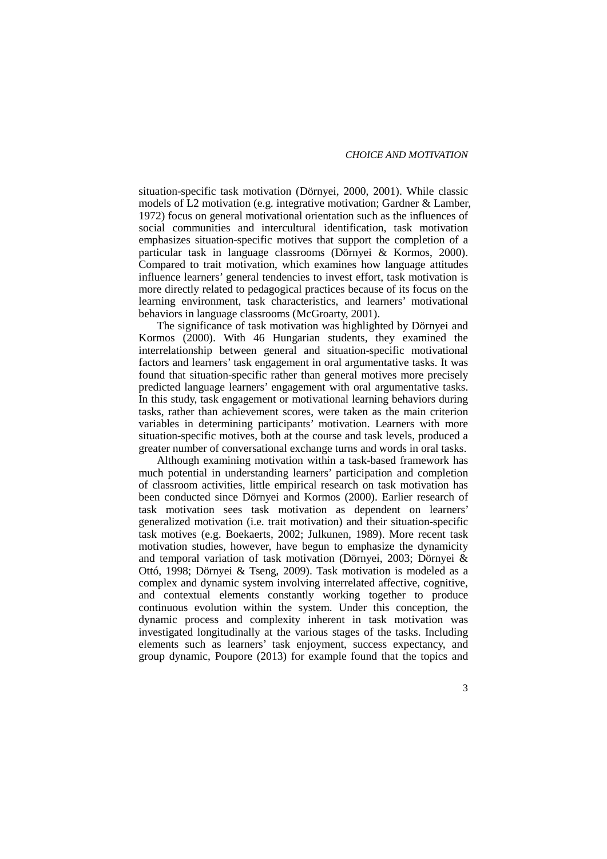situation-specific task motivation (Dörnyei, 2000, 2001). While classic models of L2 motivation (e.g. integrative motivation; Gardner & Lamber, 1972) focus on general motivational orientation such as the influences of social communities and intercultural identification, task motivation emphasizes situation-specific motives that support the completion of a particular task in language classrooms (Dörnyei & Kormos, 2000). Compared to trait motivation, which examines how language attitudes influence learners' general tendencies to invest effort, task motivation is more directly related to pedagogical practices because of its focus on the learning environment, task characteristics, and learners' motivational behaviors in language classrooms (McGroarty, 2001).

The significance of task motivation was highlighted by Dörnyei and Kormos (2000). With 46 Hungarian students, they examined the interrelationship between general and situation-specific motivational factors and learners' task engagement in oral argumentative tasks. It was found that situation-specific rather than general motives more precisely predicted language learners' engagement with oral argumentative tasks. In this study, task engagement or motivational learning behaviors during tasks, rather than achievement scores, were taken as the main criterion variables in determining participants' motivation. Learners with more situation-specific motives, both at the course and task levels, produced a greater number of conversational exchange turns and words in oral tasks.

Although examining motivation within a task-based framework has much potential in understanding learners' participation and completion of classroom activities, little empirical research on task motivation has been conducted since Dörnyei and Kormos (2000). Earlier research of task motivation sees task motivation as dependent on learners' generalized motivation (i.e. trait motivation) and their situation-specific task motives (e.g. Boekaerts, 2002; Julkunen, 1989). More recent task motivation studies, however, have begun to emphasize the dynamicity and temporal variation of task motivation (Dörnyei, 2003; Dörnyei & Ottó, 1998; Dörnyei & Tseng, 2009). Task motivation is modeled as a complex and dynamic system involving interrelated affective, cognitive, and contextual elements constantly working together to produce continuous evolution within the system. Under this conception, the dynamic process and complexity inherent in task motivation was investigated longitudinally at the various stages of the tasks. Including elements such as learners' task enjoyment, success expectancy, and group dynamic, Poupore (2013) for example found that the topics and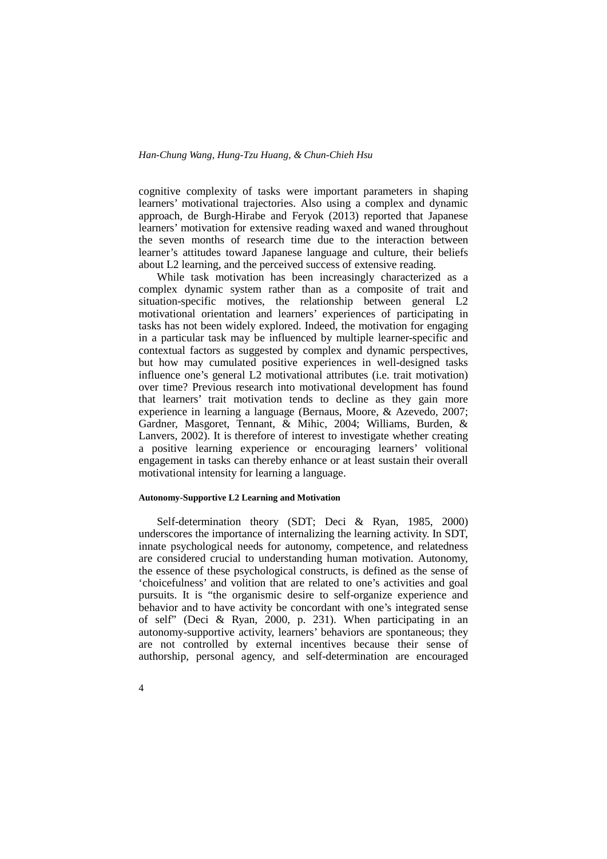cognitive complexity of tasks were important parameters in shaping learners' motivational trajectories. Also using a complex and dynamic approach, de Burgh-Hirabe and Feryok (2013) reported that Japanese learners' motivation for extensive reading waxed and waned throughout the seven months of research time due to the interaction between learner's attitudes toward Japanese language and culture, their beliefs about L2 learning, and the perceived success of extensive reading.

While task motivation has been increasingly characterized as a complex dynamic system rather than as a composite of trait and situation-specific motives, the relationship between general L2 motivational orientation and learners' experiences of participating in tasks has not been widely explored. Indeed, the motivation for engaging in a particular task may be influenced by multiple learner-specific and contextual factors as suggested by complex and dynamic perspectives, but how may cumulated positive experiences in well-designed tasks influence one's general L2 motivational attributes (i.e. trait motivation) over time? Previous research into motivational development has found that learners' trait motivation tends to decline as they gain more experience in learning a language (Bernaus, Moore, & Azevedo, 2007; Gardner, Masgoret, Tennant, & Mihic, 2004; Williams, Burden, & Lanvers, 2002). It is therefore of interest to investigate whether creating a positive learning experience or encouraging learners' volitional engagement in tasks can thereby enhance or at least sustain their overall motivational intensity for learning a language.

#### **Autonomy-Supportive L2 Learning and Motivation**

4

Self-determination theory (SDT; Deci & Ryan, 1985, 2000) underscores the importance of internalizing the learning activity. In SDT, innate psychological needs for autonomy, competence, and relatedness are considered crucial to understanding human motivation. Autonomy, the essence of these psychological constructs, is defined as the sense of 'choicefulness' and volition that are related to one's activities and goal pursuits. It is "the organismic desire to self-organize experience and behavior and to have activity be concordant with one's integrated sense of self" (Deci & Ryan, 2000, p. 231). When participating in an autonomy-supportive activity, learners' behaviors are spontaneous; they are not controlled by external incentives because their sense of authorship, personal agency, and self-determination are encouraged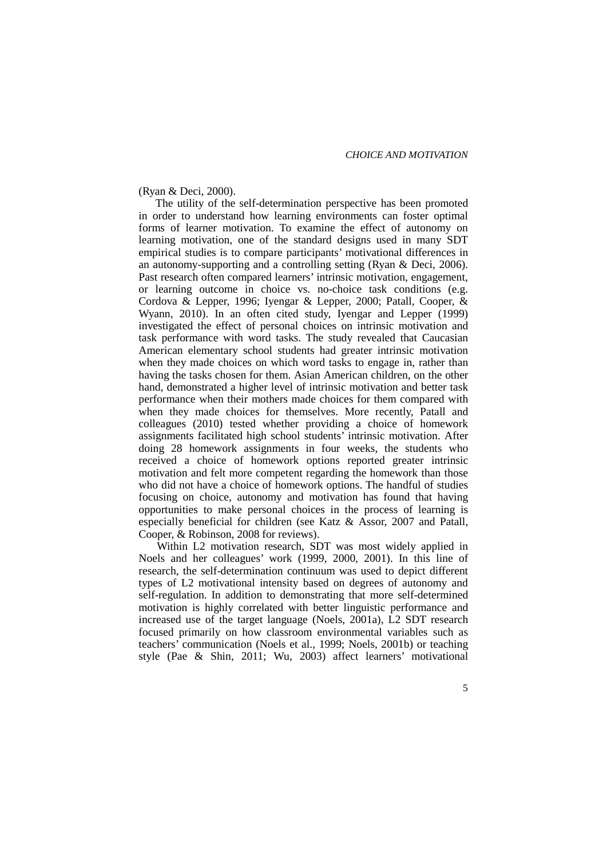#### *CHOICE AND MOTIVATION*

#### (Ryan & Deci, 2000).

The utility of the self-determination perspective has been promoted in order to understand how learning environments can foster optimal forms of learner motivation. To examine the effect of autonomy on learning motivation, one of the standard designs used in many SDT empirical studies is to compare participants' motivational differences in an autonomy-supporting and a controlling setting (Ryan & Deci, 2006). Past research often compared learners' intrinsic motivation, engagement, or learning outcome in choice vs. no-choice task conditions (e.g. Cordova & Lepper, 1996; Iyengar & Lepper, 2000; Patall, Cooper, & Wyann, 2010). In an often cited study, Iyengar and Lepper (1999) investigated the effect of personal choices on intrinsic motivation and task performance with word tasks. The study revealed that Caucasian American elementary school students had greater intrinsic motivation when they made choices on which word tasks to engage in, rather than having the tasks chosen for them. Asian American children, on the other hand, demonstrated a higher level of intrinsic motivation and better task performance when their mothers made choices for them compared with when they made choices for themselves. More recently, Patall and colleagues (2010) tested whether providing a choice of homework assignments facilitated high school students' intrinsic motivation. After doing 28 homework assignments in four weeks, the students who received a choice of homework options reported greater intrinsic motivation and felt more competent regarding the homework than those who did not have a choice of homework options. The handful of studies focusing on choice, autonomy and motivation has found that having opportunities to make personal choices in the process of learning is especially beneficial for children (see Katz & Assor, 2007 and Patall, Cooper, & Robinson, 2008 for reviews).

Within L2 motivation research, SDT was most widely applied in Noels and her colleagues' work (1999, 2000, 2001). In this line of research, the self-determination continuum was used to depict different types of L2 motivational intensity based on degrees of autonomy and self-regulation. In addition to demonstrating that more self-determined motivation is highly correlated with better linguistic performance and increased use of the target language (Noels, 2001a), L2 SDT research focused primarily on how classroom environmental variables such as teachers' communication (Noels et al., 1999; Noels, 2001b) or teaching style (Pae & Shin, 2011; Wu, 2003) affect learners' motivational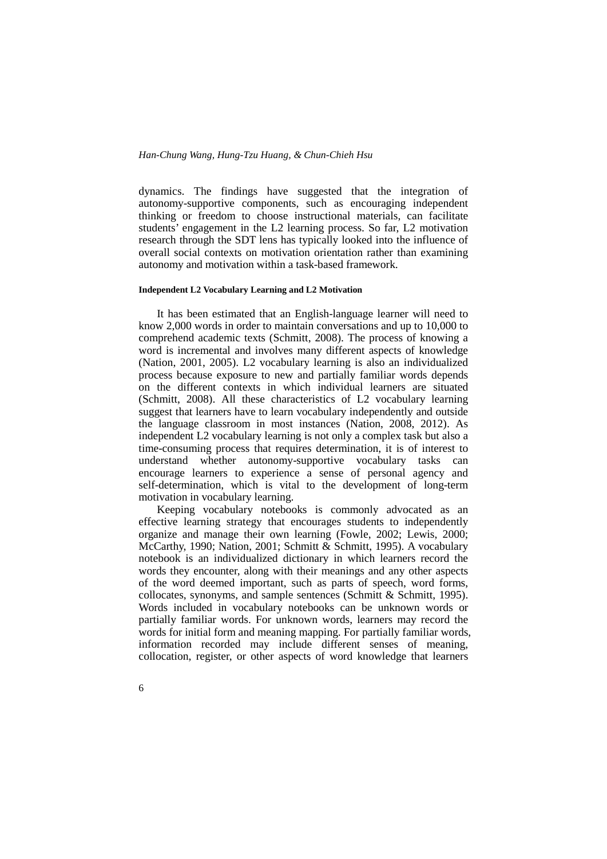dynamics. The findings have suggested that the integration of autonomy-supportive components, such as encouraging independent thinking or freedom to choose instructional materials, can facilitate students' engagement in the L2 learning process. So far, L2 motivation research through the SDT lens has typically looked into the influence of overall social contexts on motivation orientation rather than examining autonomy and motivation within a task-based framework.

#### **Independent L2 Vocabulary Learning and L2 Motivation**

It has been estimated that an English-language learner will need to know 2,000 words in order to maintain conversations and up to 10,000 to comprehend academic texts (Schmitt, 2008). The process of knowing a word is incremental and involves many different aspects of knowledge (Nation, 2001, 2005). L2 vocabulary learning is also an individualized process because exposure to new and partially familiar words depends on the different contexts in which individual learners are situated (Schmitt, 2008). All these characteristics of L2 vocabulary learning suggest that learners have to learn vocabulary independently and outside the language classroom in most instances (Nation, 2008, 2012). As independent L2 vocabulary learning is not only a complex task but also a time-consuming process that requires determination, it is of interest to understand whether autonomy-supportive vocabulary tasks can encourage learners to experience a sense of personal agency and self-determination, which is vital to the development of long-term motivation in vocabulary learning.

Keeping vocabulary notebooks is commonly advocated as an effective learning strategy that encourages students to independently organize and manage their own learning (Fowle, 2002; Lewis, 2000; McCarthy, 1990; Nation, 2001; Schmitt & Schmitt, 1995). A vocabulary notebook is an individualized dictionary in which learners record the words they encounter, along with their meanings and any other aspects of the word deemed important, such as parts of speech, word forms, collocates, synonyms, and sample sentences (Schmitt & Schmitt, 1995). Words included in vocabulary notebooks can be unknown words or partially familiar words. For unknown words, learners may record the words for initial form and meaning mapping. For partially familiar words, information recorded may include different senses of meaning, collocation, register, or other aspects of word knowledge that learners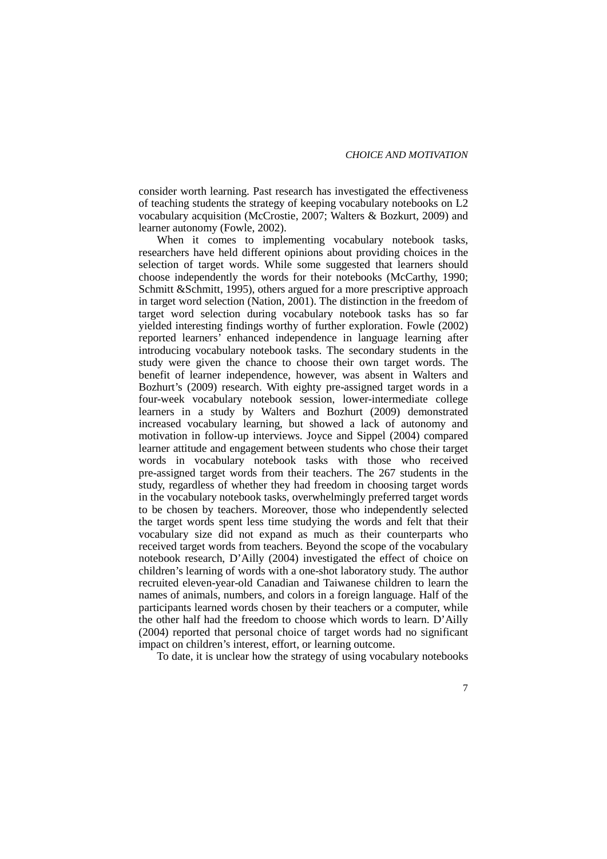consider worth learning. Past research has investigated the effectiveness of teaching students the strategy of keeping vocabulary notebooks on L2 vocabulary acquisition (McCrostie, 2007; Walters & Bozkurt, 2009) and learner autonomy (Fowle, 2002).

When it comes to implementing vocabulary notebook tasks, researchers have held different opinions about providing choices in the selection of target words. While some suggested that learners should choose independently the words for their notebooks (McCarthy, 1990; Schmitt & Schmitt, 1995), others argued for a more prescriptive approach in target word selection (Nation, 2001). The distinction in the freedom of target word selection during vocabulary notebook tasks has so far yielded interesting findings worthy of further exploration. Fowle (2002) reported learners' enhanced independence in language learning after introducing vocabulary notebook tasks. The secondary students in the study were given the chance to choose their own target words. The benefit of learner independence, however, was absent in Walters and Bozhurt's (2009) research. With eighty pre-assigned target words in a four-week vocabulary notebook session, lower-intermediate college learners in a study by Walters and Bozhurt (2009) demonstrated increased vocabulary learning, but showed a lack of autonomy and motivation in follow-up interviews. Joyce and Sippel (2004) compared learner attitude and engagement between students who chose their target words in vocabulary notebook tasks with those who received pre-assigned target words from their teachers. The 267 students in the study, regardless of whether they had freedom in choosing target words in the vocabulary notebook tasks, overwhelmingly preferred target words to be chosen by teachers. Moreover, those who independently selected the target words spent less time studying the words and felt that their vocabulary size did not expand as much as their counterparts who received target words from teachers. Beyond the scope of the vocabulary notebook research, D'Ailly (2004) investigated the effect of choice on children's learning of words with a one-shot laboratory study. The author recruited eleven-year-old Canadian and Taiwanese children to learn the names of animals, numbers, and colors in a foreign language. Half of the participants learned words chosen by their teachers or a computer, while the other half had the freedom to choose which words to learn. D'Ailly (2004) reported that personal choice of target words had no significant impact on children's interest, effort, or learning outcome.

To date, it is unclear how the strategy of using vocabulary notebooks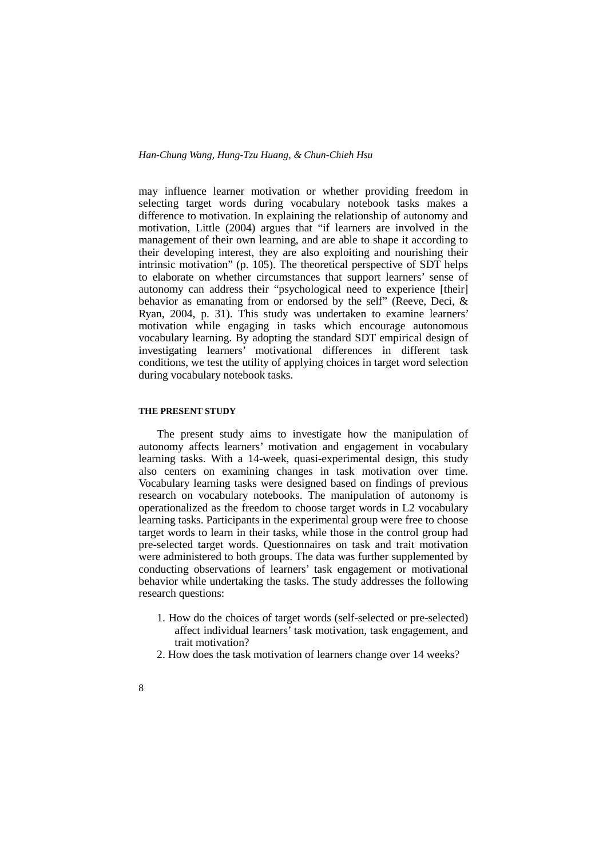may influence learner motivation or whether providing freedom in selecting target words during vocabulary notebook tasks makes a difference to motivation. In explaining the relationship of autonomy and motivation, Little (2004) argues that "if learners are involved in the management of their own learning, and are able to shape it according to their developing interest, they are also exploiting and nourishing their intrinsic motivation" (p. 105). The theoretical perspective of SDT helps to elaborate on whether circumstances that support learners' sense of autonomy can address their "psychological need to experience [their] behavior as emanating from or endorsed by the self" (Reeve, Deci, & Ryan, 2004, p. 31). This study was undertaken to examine learners' motivation while engaging in tasks which encourage autonomous vocabulary learning. By adopting the standard SDT empirical design of investigating learners' motivational differences in different task conditions, we test the utility of applying choices in target word selection during vocabulary notebook tasks.

#### **THE PRESENT STUDY**

The present study aims to investigate how the manipulation of autonomy affects learners' motivation and engagement in vocabulary learning tasks. With a 14-week, quasi-experimental design, this study also centers on examining changes in task motivation over time. Vocabulary learning tasks were designed based on findings of previous research on vocabulary notebooks. The manipulation of autonomy is operationalized as the freedom to choose target words in L2 vocabulary learning tasks. Participants in the experimental group were free to choose target words to learn in their tasks, while those in the control group had pre-selected target words. Questionnaires on task and trait motivation were administered to both groups. The data was further supplemented by conducting observations of learners' task engagement or motivational behavior while undertaking the tasks. The study addresses the following research questions:

- 1. How do the choices of target words (self-selected or pre-selected) affect individual learners' task motivation, task engagement, and trait motivation?
- 2. How does the task motivation of learners change over 14 weeks?
- 8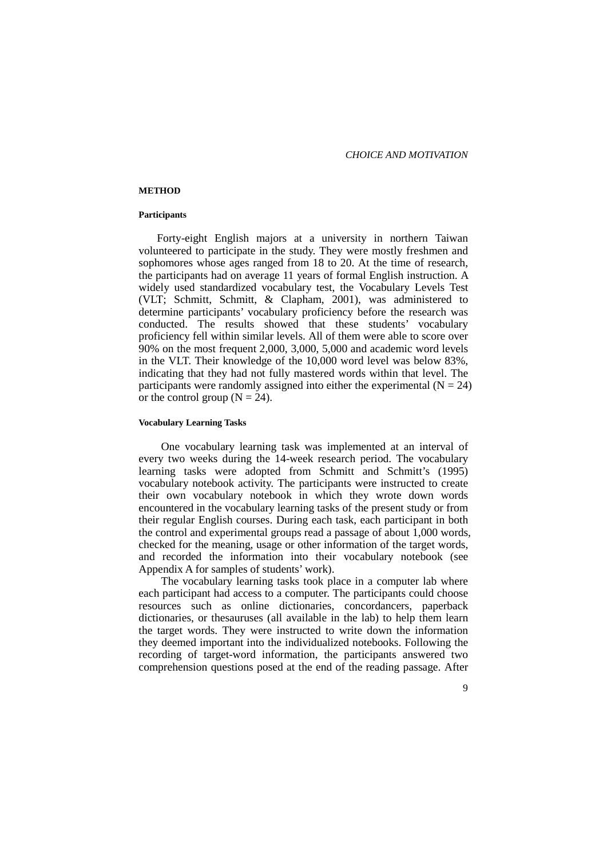#### **METHOD**

#### **Participants**

Forty-eight English majors at a university in northern Taiwan volunteered to participate in the study. They were mostly freshmen and sophomores whose ages ranged from 18 to 20. At the time of research, the participants had on average 11 years of formal English instruction. A widely used standardized vocabulary test, the Vocabulary Levels Test (VLT; Schmitt, Schmitt, & Clapham, 2001), was administered to determine participants' vocabulary proficiency before the research was conducted. The results showed that these students' vocabulary proficiency fell within similar levels. All of them were able to score over 90% on the most frequent 2,000, 3,000, 5,000 and academic word levels in the VLT. Their knowledge of the 10,000 word level was below 83%, indicating that they had not fully mastered words within that level. The participants were randomly assigned into either the experimental  $(N = 24)$ or the control group ( $N = 24$ ).

#### **Vocabulary Learning Tasks**

One vocabulary learning task was implemented at an interval of every two weeks during the 14-week research period. The vocabulary learning tasks were adopted from Schmitt and Schmitt's (1995) vocabulary notebook activity. The participants were instructed to create their own vocabulary notebook in which they wrote down words encountered in the vocabulary learning tasks of the present study or from their regular English courses. During each task, each participant in both the control and experimental groups read a passage of about 1,000 words, checked for the meaning, usage or other information of the target words, and recorded the information into their vocabulary notebook (see Appendix A for samples of students' work).

The vocabulary learning tasks took place in a computer lab where each participant had access to a computer. The participants could choose resources such as online dictionaries, concordancers, paperback dictionaries, or thesauruses (all available in the lab) to help them learn the target words. They were instructed to write down the information they deemed important into the individualized notebooks. Following the recording of target-word information, the participants answered two comprehension questions posed at the end of the reading passage. After

 $\overline{Q}$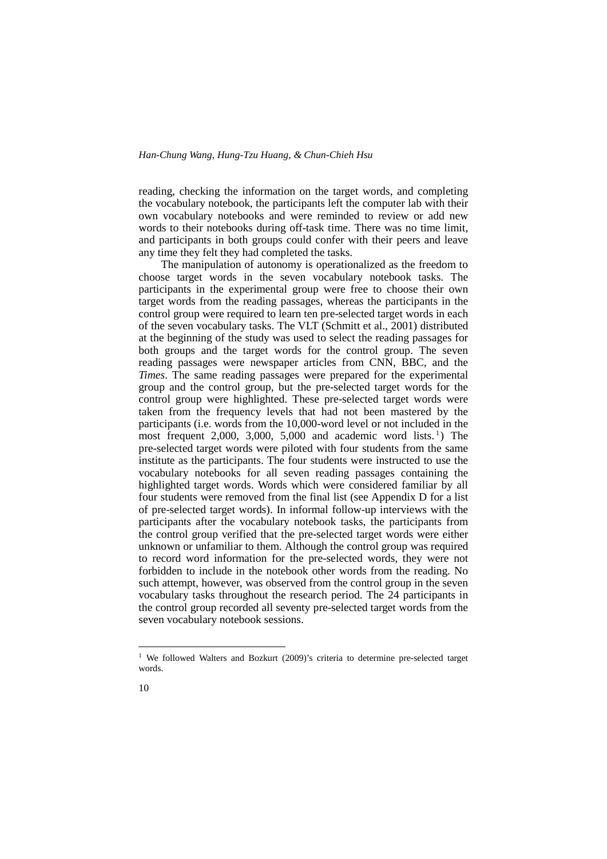reading, checking the information on the target words, and completing the vocabulary notebook, the participants left the computer lab with their own vocabulary notebooks and were reminded to review or add new words to their notebooks during off-task time. There was no time limit, and participants in both groups could confer with their peers and leave any time they felt they had completed the tasks.

The manipulation of autonomy is operationalized as the freedom to choose target words in the seven vocabulary notebook tasks. The participants in the experimental group were free to choose their own target words from the reading passages, whereas the participants in the control group were required to learn ten pre-selected target words in each of the seven vocabulary tasks. The VLT (Schmitt et al., 2001) distributed at the beginning of the study was used to select the reading passages for both groups and the target words for the control group. The seven reading passages were newspaper articles from CNN, BBC, and the *Times*. The same reading passages were prepared for the experimental group and the control group, but the pre-selected target words for the control group were highlighted. These pre-selected target words were taken from the frequency levels that had not been mastered by the participants (i.e. words from the 10,000-word level or not included in the most frequent 2,000, 3,000, 5,000 and academic word lists.<sup>[1](#page-9-0)</sup>) The pre-selected target words were piloted with four students from the same institute as the participants. The four students were instructed to use the vocabulary notebooks for all seven reading passages containing the highlighted target words. Words which were considered familiar by all four students were removed from the final list (see Appendix D for a list of pre-selected target words). In informal follow-up interviews with the participants after the vocabulary notebook tasks, the participants from the control group verified that the pre-selected target words were either unknown or unfamiliar to them. Although the control group was required to record word information for the pre-selected words, they were not forbidden to include in the notebook other words from the reading. No such attempt, however, was observed from the control group in the seven vocabulary tasks throughout the research period. The 24 participants in the control group recorded all seventy pre-selected target words from the seven vocabulary notebook sessions.

<span id="page-9-0"></span><sup>&</sup>lt;sup>1</sup> We followed Walters and Bozkurt (2009)'s criteria to determine pre-selected target words.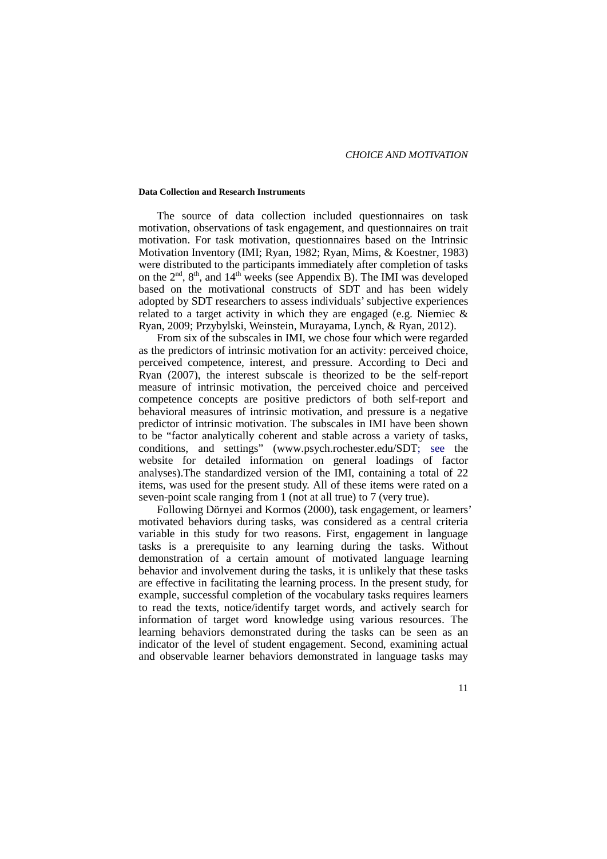#### **Data Collection and Research Instruments**

The source of data collection included questionnaires on task motivation, observations of task engagement, and questionnaires on trait motivation. For task motivation, questionnaires based on the Intrinsic Motivation Inventory (IMI; Ryan, 1982; Ryan, Mims, & Koestner, 1983) were distributed to the participants immediately after completion of tasks on the  $2<sup>nd</sup>$ ,  $8<sup>th</sup>$ , and  $14<sup>th</sup>$  weeks (see Appendix B). The IMI was developed based on the motivational constructs of SDT and has been widely adopted by SDT researchers to assess individuals' subjective experiences related to a target activity in which they are engaged (e.g. Niemiec & Ryan, 2009; Przybylski, Weinstein, Murayama, Lynch, & Ryan, 2012).

From six of the subscales in IMI, we chose four which were regarded as the predictors of intrinsic motivation for an activity: perceived choice, perceived competence, interest, and pressure. According to Deci and Ryan (2007), the interest subscale is theorized to be the self-report measure of intrinsic motivation, the perceived choice and perceived competence concepts are positive predictors of both self-report and behavioral measures of intrinsic motivation, and pressure is a negative predictor of intrinsic motivation. The subscales in IMI have been shown to be "factor analytically coherent and stable across a variety of tasks, conditions, and settings" (www.psych.rochester.edu/SDT; see the website for detailed information on general loadings of factor analyses).The standardized version of the IMI, containing a total of 22 items, was used for the present study. All of these items were rated on a seven-point scale ranging from 1 (not at all true) to 7 (very true).

Following Dörnyei and Kormos (2000), task engagement, or learners' motivated behaviors during tasks, was considered as a central criteria variable in this study for two reasons. First, engagement in language tasks is a prerequisite to any learning during the tasks. Without demonstration of a certain amount of motivated language learning behavior and involvement during the tasks, it is unlikely that these tasks are effective in facilitating the learning process. In the present study, for example, successful completion of the vocabulary tasks requires learners to read the texts, notice/identify target words, and actively search for information of target word knowledge using various resources. The learning behaviors demonstrated during the tasks can be seen as an indicator of the level of student engagement. Second, examining actual and observable learner behaviors demonstrated in language tasks may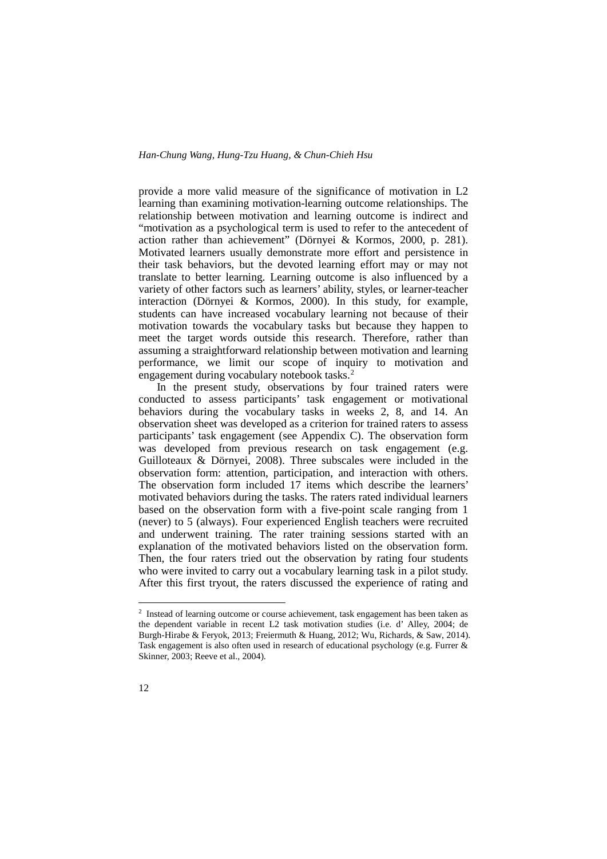provide a more valid measure of the significance of motivation in L2 learning than examining motivation-learning outcome relationships. The relationship between motivation and learning outcome is indirect and "motivation as a psychological term is used to refer to the antecedent of action rather than achievement" (Dörnyei & Kormos, 2000, p. 281). Motivated learners usually demonstrate more effort and persistence in their task behaviors, but the devoted learning effort may or may not translate to better learning. Learning outcome is also influenced by a variety of other factors such as learners' ability, styles, or learner-teacher interaction (Dörnyei & Kormos, 2000). In this study, for example, students can have increased vocabulary learning not because of their motivation towards the vocabulary tasks but because they happen to meet the target words outside this research. Therefore, rather than assuming a straightforward relationship between motivation and learning performance, we limit our scope of inquiry to motivation and engagement during vocabulary notebook tasks. [2](#page-11-0)

In the present study, observations by four trained raters were conducted to assess participants' task engagement or motivational behaviors during the vocabulary tasks in weeks 2, 8, and 14. An observation sheet was developed as a criterion for trained raters to assess participants' task engagement (see Appendix C). The observation form was developed from previous research on task engagement (e.g. Guilloteaux & Dörnyei, 2008). Three subscales were included in the observation form: attention, participation, and interaction with others. The observation form included 17 items which describe the learners' motivated behaviors during the tasks. The raters rated individual learners based on the observation form with a five-point scale ranging from 1 (never) to 5 (always). Four experienced English teachers were recruited and underwent training. The rater training sessions started with an explanation of the motivated behaviors listed on the observation form. Then, the four raters tried out the observation by rating four students who were invited to carry out a vocabulary learning task in a pilot study. After this first tryout, the raters discussed the experience of rating and

<span id="page-11-0"></span><sup>&</sup>lt;sup>2</sup> Instead of learning outcome or course achievement, task engagement has been taken as the dependent variable in recent L2 task motivation studies (i.e. d' Alley, 2004; de Burgh-Hirabe & Feryok, 2013; Freiermuth & Huang, 2012; Wu, Richards, & Saw, 2014). Task engagement is also often used in research of educational psychology (e.g. Furrer & Skinner, 2003; Reeve et al., 2004).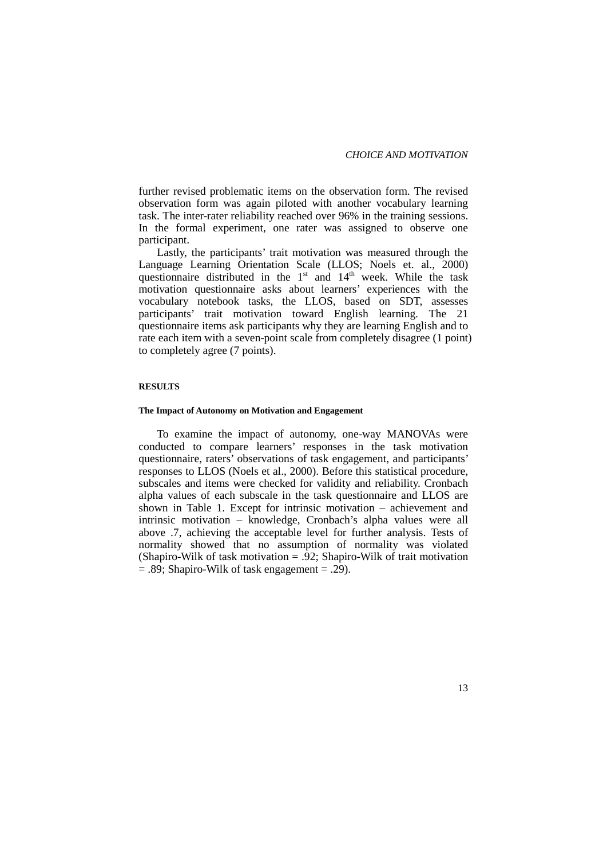further revised problematic items on the observation form. The revised observation form was again piloted with another vocabulary learning task. The inter-rater reliability reached over 96% in the training sessions. In the formal experiment, one rater was assigned to observe one participant.

Lastly, the participants' trait motivation was measured through the Language Learning Orientation Scale (LLOS; Noels et. al., 2000) questionnaire distributed in the  $1<sup>st</sup>$  and  $14<sup>th</sup>$  week. While the task motivation questionnaire asks about learners' experiences with the vocabulary notebook tasks, the LLOS, based on SDT, assesses participants' trait motivation toward English learning. The 21 questionnaire items ask participants why they are learning English and to rate each item with a seven-point scale from completely disagree (1 point) to completely agree (7 points).

#### **RESULTS**

#### **The Impact of Autonomy on Motivation and Engagement**

To examine the impact of autonomy, one-way MANOVAs were conducted to compare learners' responses in the task motivation questionnaire, raters' observations of task engagement, and participants' responses to LLOS (Noels et al., 2000). Before this statistical procedure, subscales and items were checked for validity and reliability. Cronbach alpha values of each subscale in the task questionnaire and LLOS are shown in Table 1. Except for intrinsic motivation – achievement and intrinsic motivation – knowledge, Cronbach's alpha values were all above .7, achieving the acceptable level for further analysis. Tests of normality showed that no assumption of normality was violated (Shapiro-Wilk of task motivation  $= .92$ ; Shapiro-Wilk of trait motivation  $= .89$ ; Shapiro-Wilk of task engagement  $= .29$ ).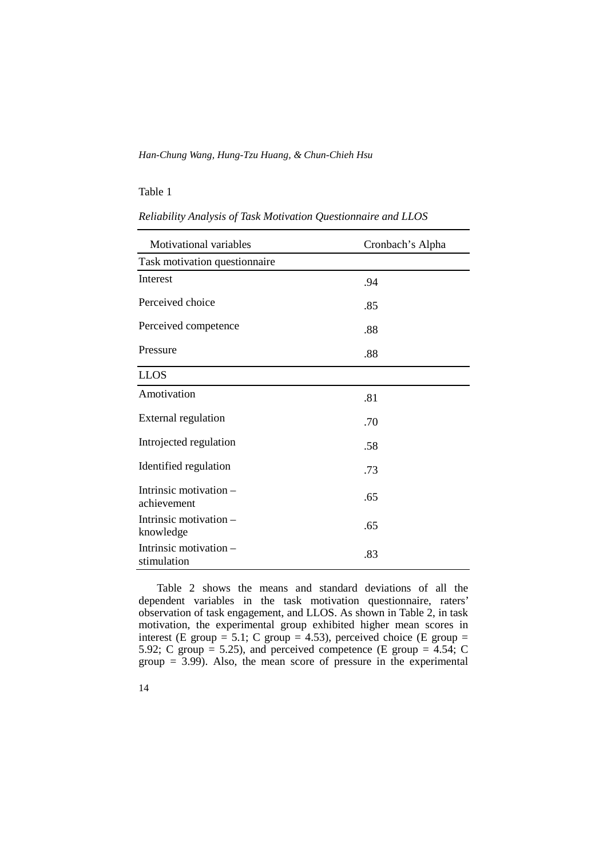#### Table 1

*Reliability Analysis of Task Motivation Questionnaire and LLOS* 

| Motivational variables                  | Cronbach's Alpha |
|-----------------------------------------|------------------|
| Task motivation questionnaire           |                  |
| Interest                                | .94              |
| Perceived choice                        | .85              |
| Perceived competence                    | .88              |
| Pressure                                | .88              |
| <b>LLOS</b>                             |                  |
| Amotivation                             | .81              |
| <b>External regulation</b>              | .70              |
| Introjected regulation                  | .58              |
| Identified regulation                   | .73              |
| Intrinsic motivation $-$<br>achievement | .65              |
| Intrinsic motivation $-$<br>knowledge   | .65              |
| Intrinsic motivation –<br>stimulation   | .83              |

Table 2 shows the means and standard deviations of all the dependent variables in the task motivation questionnaire, raters' observation of task engagement, and LLOS. As shown in Table 2, in task motivation, the experimental group exhibited higher mean scores in interest (E group = 5.1; C group = 4.53), perceived choice (E group = 5.92; C group  $=$  5.25), and perceived competence (E group  $=$  4.54; C  $group = 3.99$ . Also, the mean score of pressure in the experimental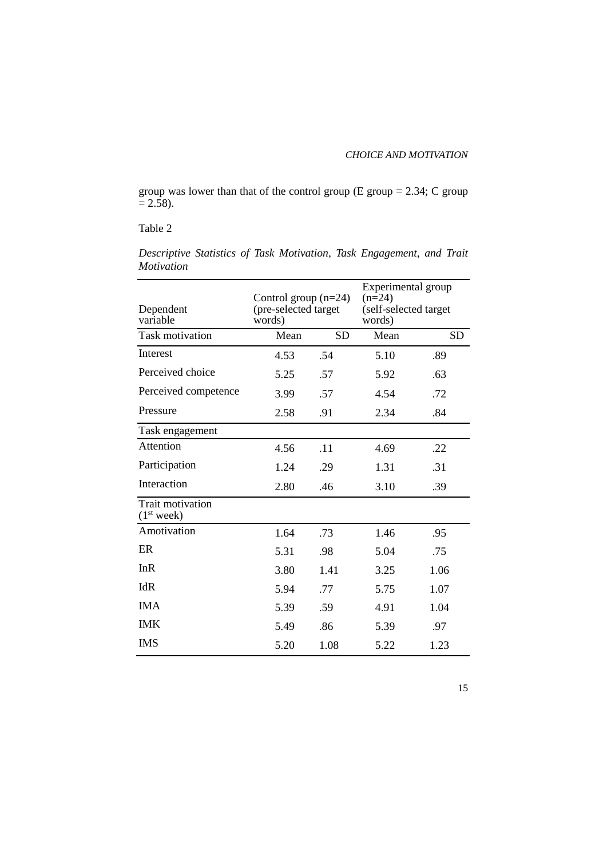group was lower than that of the control group  $(E \text{ group} = 2.34; C \text{ group})$  $= 2.58$ ).

#### Table 2

| Dependent<br>variable                             | Control group $(n=24)$<br>(pre-selected target<br>words) |           | Experimental group<br>$(n=24)$<br>(self-selected target<br>words) |      |  |
|---------------------------------------------------|----------------------------------------------------------|-----------|-------------------------------------------------------------------|------|--|
| <b>Task motivation</b>                            | Mean                                                     | <b>SD</b> | Mean                                                              | SD   |  |
| Interest                                          | 4.53                                                     | .54       | 5.10                                                              | .89  |  |
| Perceived choice                                  | 5.25                                                     | .57       | 5.92                                                              | .63  |  |
| Perceived competence                              | 3.99                                                     | .57       | 4.54                                                              | .72  |  |
| Pressure                                          | 2.58                                                     | .91       | 2.34                                                              | .84  |  |
| Task engagement                                   |                                                          |           |                                                                   |      |  |
| Attention                                         | 4.56                                                     | .11       | 4.69                                                              | .22  |  |
| Participation                                     | 1.24                                                     | .29       | 1.31                                                              | .31  |  |
| Interaction                                       | 2.80                                                     | .46       | 3.10                                                              | .39  |  |
| <b>Trait motivation</b><br>(1 <sup>st</sup> week) |                                                          |           |                                                                   |      |  |
| Amotivation                                       | 1.64                                                     | .73       | 1.46                                                              | .95  |  |
| ER                                                | 5.31                                                     | .98       | 5.04                                                              | .75  |  |
| InR                                               | 3.80                                                     | 1.41      | 3.25                                                              | 1.06 |  |
| IdR                                               | 5.94                                                     | .77       | 5.75                                                              | 1.07 |  |
| <b>IMA</b>                                        | 5.39                                                     | .59       | 4.91                                                              | 1.04 |  |
| <b>IMK</b>                                        | 5.49                                                     | .86       | 5.39                                                              | .97  |  |
| <b>IMS</b>                                        | 5.20                                                     | 1.08      | 5.22                                                              | 1.23 |  |

*Descriptive Statistics of Task Motivation, Task Engagement, and Trait Motivation*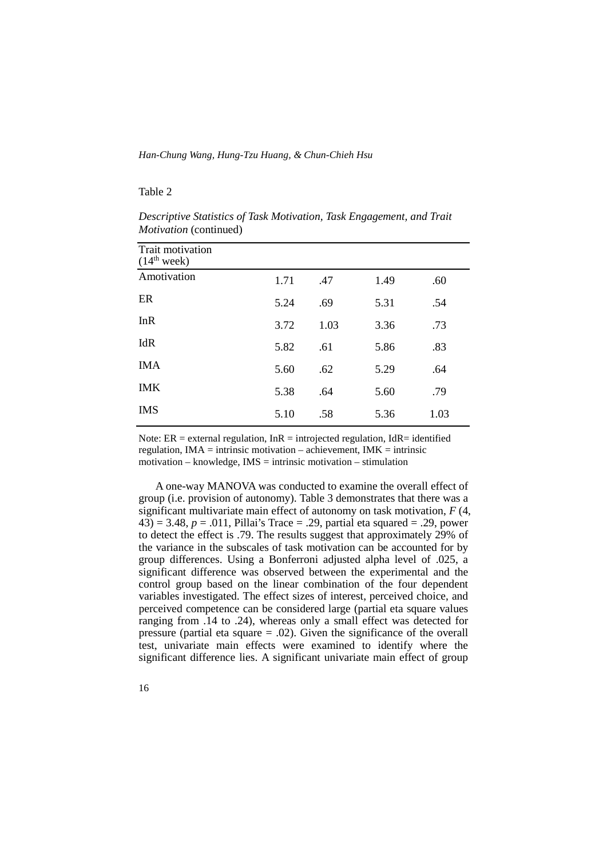#### Table 2

| Trait motivation<br>(14 <sup>th</sup> week) |      |      |      |      |
|---------------------------------------------|------|------|------|------|
| Amotivation                                 | 1.71 | .47  | 1.49 | .60  |
| ER                                          | 5.24 | .69  | 5.31 | .54  |
| InR                                         | 3.72 | 1.03 | 3.36 | .73  |
| IdR                                         | 5.82 | .61  | 5.86 | .83  |
| <b>IMA</b>                                  | 5.60 | .62  | 5.29 | .64  |
| <b>IMK</b>                                  | 5.38 | .64  | 5.60 | .79  |
| <b>IMS</b>                                  | 5.10 | .58  | 5.36 | 1.03 |

*Descriptive Statistics of Task Motivation, Task Engagement, and Trait Motivation* (continued)

Note:  $ER =$  external regulation,  $InR =$  introjected regulation,  $IdR =$  identified regulation,  $IMA =$  intrinsic motivation – achievement,  $IMK =$  intrinsic motivation – knowledge,  $IMS =$  intrinsic motivation – stimulation

A one-way MANOVA was conducted to examine the overall effect of group (i.e. provision of autonomy). Table 3 demonstrates that there was a significant multivariate main effect of autonomy on task motivation, *F* (4,  $(43) = 3.48, p = .011, Pillai's Trace = .29, partial eta squared = .29, power$ to detect the effect is .79. The results suggest that approximately 29% of the variance in the subscales of task motivation can be accounted for by group differences. Using a Bonferroni adjusted alpha level of .025, a significant difference was observed between the experimental and the control group based on the linear combination of the four dependent variables investigated. The effect sizes of interest, perceived choice, and perceived competence can be considered large (partial eta square values ranging from .14 to .24), whereas only a small effect was detected for pressure (partial eta square = .02). Given the significance of the overall test, univariate main effects were examined to identify where the significant difference lies. A significant univariate main effect of group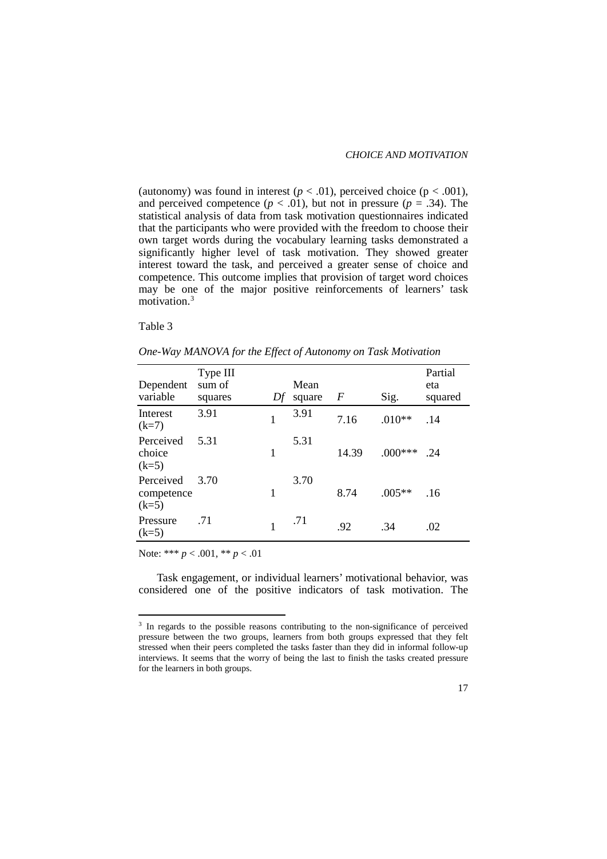(autonomy) was found in interest  $(p < .01)$ , perceived choice  $(p < .001)$ , and perceived competence  $(p < .01)$ , but not in pressure  $(p = .34)$ . The statistical analysis of data from task motivation questionnaires indicated that the participants who were provided with the freedom to choose their own target words during the vocabulary learning tasks demonstrated a significantly higher level of task motivation. They showed greater interest toward the task, and perceived a greater sense of choice and competence. This outcome implies that provision of target word choices may be one of the major positive reinforcements of learners' task motivation.[3](#page-16-0)

Table 3

| Dependent<br>variable              | Type III<br>sum of<br>squares | Df | Mean<br>square | $\boldsymbol{F}$ | Sig.      | Partial<br>eta<br>squared |
|------------------------------------|-------------------------------|----|----------------|------------------|-----------|---------------------------|
| Interest<br>$(k=7)$                | 3.91                          | 1  | 3.91           | 7.16             | $.010**$  | .14                       |
| Perceived<br>choice<br>$(k=5)$     | 5.31                          | 1  | 5.31           | 14.39            | $.000***$ | $-24$                     |
| Perceived<br>competence<br>$(k=5)$ | 3.70                          | 1  | 3.70           | 8.74             | $.005**$  | .16                       |
| Pressure<br>$(k=5)$                | .71                           | 1  | .71            | .92              | .34       | .02                       |

*One-Way MANOVA for the Effect of Autonomy on Task Motivation*

Note: \*\*\* *p* < .001, \*\* *p* < .01

Task engagement, or individual learners' motivational behavior, was considered one of the positive indicators of task motivation. The

<span id="page-16-0"></span><sup>&</sup>lt;sup>3</sup> In regards to the possible reasons contributing to the non-significance of perceived pressure between the two groups, learners from both groups expressed that they felt stressed when their peers completed the tasks faster than they did in informal follow-up interviews. It seems that the worry of being the last to finish the tasks created pressure for the learners in both groups.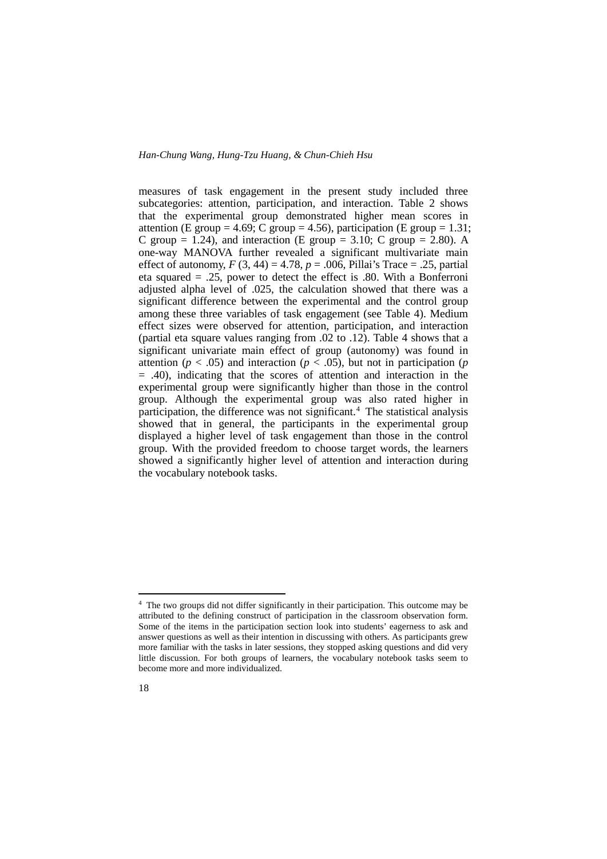measures of task engagement in the present study included three subcategories: attention, participation, and interaction. Table 2 shows that the experimental group demonstrated higher mean scores in attention (E group = 4.69; C group = 4.56), participation (E group = 1.31; C group = 1.24), and interaction (E group = 3.10; C group = 2.80). A one-way MANOVA further revealed a significant multivariate main effect of autonomy,  $F(3, 44) = 4.78$ ,  $p = .006$ , Pillai's Trace = .25, partial eta squared = .25, power to detect the effect is .80. With a Bonferroni adjusted alpha level of .025, the calculation showed that there was a significant difference between the experimental and the control group among these three variables of task engagement (see Table 4). Medium effect sizes were observed for attention, participation, and interaction (partial eta square values ranging from .02 to .12). Table 4 shows that a significant univariate main effect of group (autonomy) was found in attention ( $p < .05$ ) and interaction ( $p < .05$ ), but not in participation ( $p$  $=$  .40), indicating that the scores of attention and interaction in the experimental group were significantly higher than those in the control group. Although the experimental group was also rated higher in participation, the difference was not significant.<sup>[4](#page-17-0)</sup> The statistical analysis showed that in general, the participants in the experimental group displayed a higher level of task engagement than those in the control group. With the provided freedom to choose target words, the learners showed a significantly higher level of attention and interaction during the vocabulary notebook tasks.

<span id="page-17-0"></span><sup>&</sup>lt;sup>4</sup> The two groups did not differ significantly in their participation. This outcome may be attributed to the defining construct of participation in the classroom observation form. Some of the items in the participation section look into students' eagerness to ask and answer questions as well as their intention in discussing with others. As participants grew more familiar with the tasks in later sessions, they stopped asking questions and did very little discussion. For both groups of learners, the vocabulary notebook tasks seem to become more and more individualized.

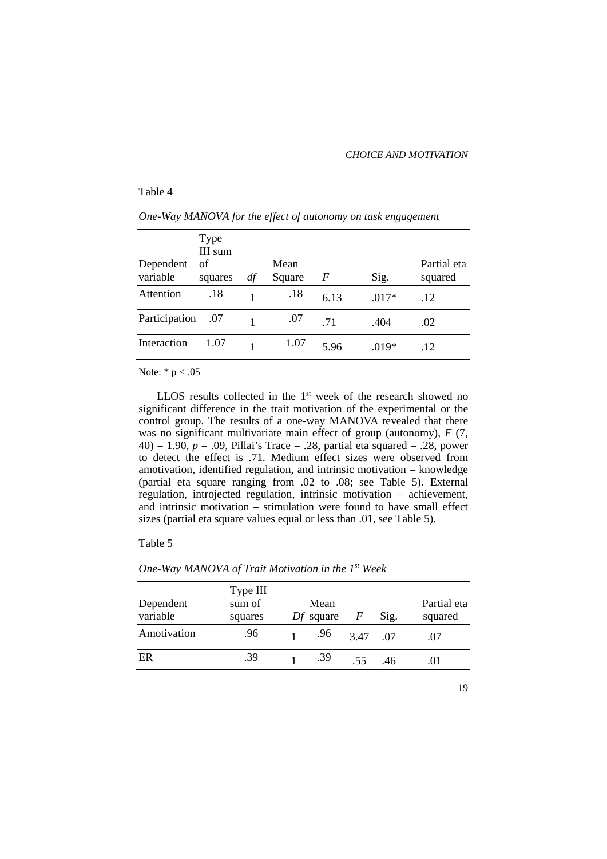#### *CHOICE AND MOTIVATION*

#### Table 4

| Dependent<br>variable | Type<br>III sum<br>of<br>squares | df | Mean<br>Square | F    | Sig.    | Partial eta<br>squared |
|-----------------------|----------------------------------|----|----------------|------|---------|------------------------|
| Attention             | .18                              |    | .18            | 6.13 | $.017*$ | .12                    |
| Participation         | .07                              |    | .07            | 71   | .404    | .02                    |
| Interaction           | 1.07                             |    | 1.07           | 5.96 | $.019*$ | .12                    |

*One-Way MANOVA for the effect of autonomy on task engagement*

Note: \* p < .05

LLOS results collected in the 1<sup>st</sup> week of the research showed no significant difference in the trait motivation of the experimental or the control group. The results of a one-way MANOVA revealed that there was no significant multivariate main effect of group (autonomy), *F* (7, 40) = 1.90,  $p = .09$ , Pillai's Trace = .28, partial eta squared = .28, power to detect the effect is .71. Medium effect sizes were observed from amotivation, identified regulation, and intrinsic motivation – knowledge (partial eta square ranging from .02 to .08; see Table 5). External regulation, introjected regulation, intrinsic motivation – achievement, and intrinsic motivation – stimulation were found to have small effect sizes (partial eta square values equal or less than .01, see Table 5).

#### Table 5

| Dependent<br>variable | Type III<br>sum of<br>squares | Mean<br>$Df$ square | F   | Sig. | Partial eta<br>squared |
|-----------------------|-------------------------------|---------------------|-----|------|------------------------|
| Amotivation           | .96                           | .96                 | 347 | -07  | .07                    |
| ER                    | .39                           | .39                 | 55  | .46  | .01                    |
|                       |                               |                     |     |      |                        |

*One-Way MANOVA of Trait Motivation in the 1st Week*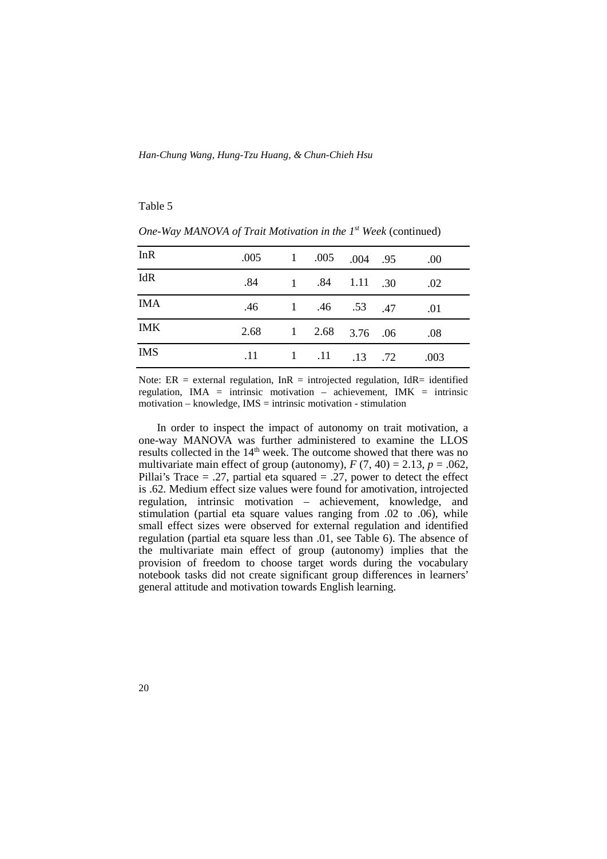#### Table 5

| InR        | 005 1 .005 .004 .95  |  |                                                  | .00         |
|------------|----------------------|--|--------------------------------------------------|-------------|
| IdR        |                      |  | $.84 \qquad 1 \qquad .84 \qquad 1.11 \qquad .30$ | $\sim 0.02$ |
| <b>IMA</b> |                      |  | .46 1 .46 .53 .47                                | .01         |
| <b>IMK</b> | 2.68 1 2.68 3.76 .06 |  |                                                  | .08         |
| <b>IMS</b> |                      |  | $.11 \t 1 \t .11 \t .13 \t .72$                  | .003        |

*One-Way MANOVA of Trait Motivation in the 1st Week* (continued)

Note:  $ER$  = external regulation,  $InR$  = introjected regulation,  $IdR$  = identified regulation, IMA = intrinsic motivation – achievement, IMK = intrinsic motivation – knowledge, IMS = intrinsic motivation - stimulation

In order to inspect the impact of autonomy on trait motivation, a one-way MANOVA was further administered to examine the LLOS results collected in the 14<sup>th</sup> week. The outcome showed that there was no multivariate main effect of group (autonomy),  $F(7, 40) = 2.13$ ,  $p = .062$ , Pillai's Trace  $= .27$ , partial eta squared  $= .27$ , power to detect the effect is .62. Medium effect size values were found for amotivation, introjected regulation, intrinsic motivation – achievement, knowledge, and stimulation (partial eta square values ranging from .02 to .06), while small effect sizes were observed for external regulation and identified regulation (partial eta square less than .01, see Table 6). The absence of the multivariate main effect of group (autonomy) implies that the provision of freedom to choose target words during the vocabulary notebook tasks did not create significant group differences in learners' general attitude and motivation towards English learning.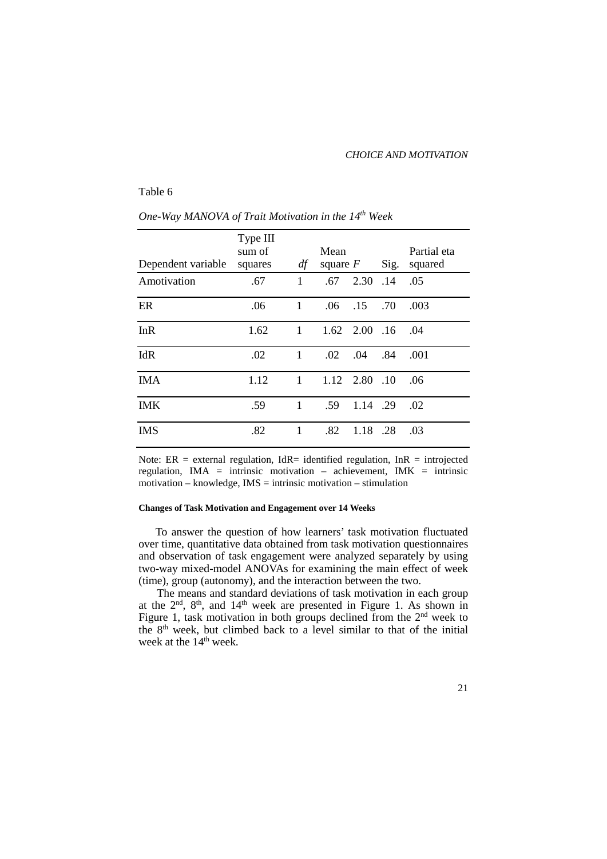#### *CHOICE AND MOTIVATION*

#### Table 6

| Dependent variable | Type III<br>sum of<br>squares | df           | Mean             | square $F$          | Sig.            | Partial eta<br>squared |
|--------------------|-------------------------------|--------------|------------------|---------------------|-----------------|------------------------|
| Amotivation        | .67                           | 1            |                  | $.67$ $.2.30$ $.14$ |                 | .05                    |
| ER                 | .06                           | $\mathbf{1}$ | $.06\,$          | .15                 | .70             | .003                   |
| InR                | 1.62                          | $\mathbf{1}$ |                  | $1.62$ $2.00$ $.16$ |                 | .04                    |
| IdR                | .02                           | 1            | $.02\phantom{0}$ | .04                 | .84             | .001                   |
| <b>IMA</b>         | 1.12                          | $\mathbf{1}$ | 1.12             | 2.80                | $\overline{10}$ | .06                    |
| <b>IMK</b>         | .59                           | 1            | .59              | 1.14 .29            |                 | .02                    |
| <b>IMS</b>         | .82                           | 1            | .82              | 1.18                | .28             | .03                    |

*One-Way MANOVA of Trait Motivation in the 14th Week*

Note:  $ER$  = external regulation, IdR= identified regulation, InR = introjected regulation, IMA = intrinsic motivation – achievement, IMK = intrinsic motivation – knowledge,  $IMS =$  intrinsic motivation – stimulation

#### **Changes of Task Motivation and Engagement over 14 Weeks**

To answer the question of how learners' task motivation fluctuated over time, quantitative data obtained from task motivation questionnaires and observation of task engagement were analyzed separately by using two-way mixed-model ANOVAs for examining the main effect of week (time), group (autonomy), and the interaction between the two.

The means and standard deviations of task motivation in each group at the  $2<sup>nd</sup>$ ,  $8<sup>th</sup>$ , and  $14<sup>th</sup>$  week are presented in Figure 1. As shown in Figure 1, task motivation in both groups declined from the  $2<sup>nd</sup>$  week to the 8th week, but climbed back to a level similar to that of the initial week at the 14<sup>th</sup> week.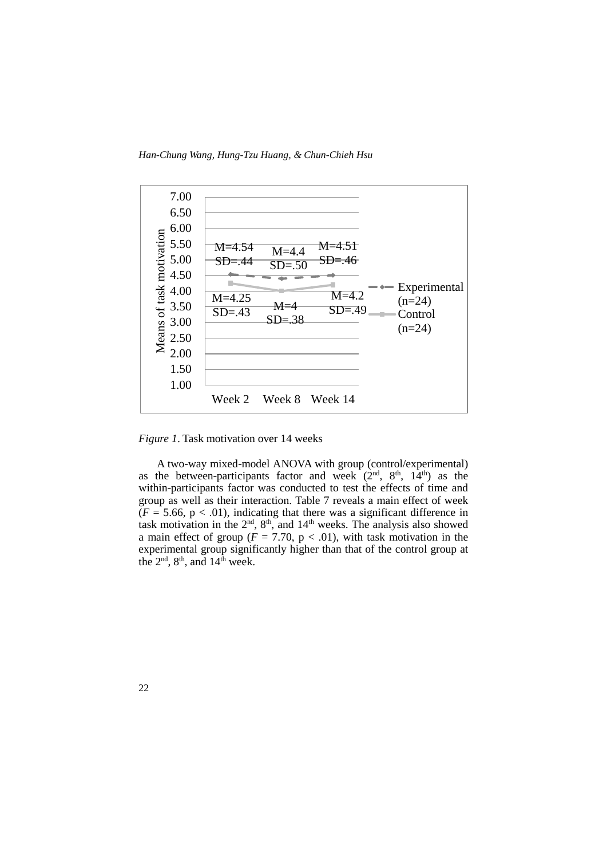*Han-Chung Wang, Hung-Tzu Huang, & Chun-Chieh Hsu*



*Figure 1*. Task motivation over 14 weeks

A two-way mixed-model ANOVA with group (control/experimental) as the between-participants factor and week  $(2<sup>nd</sup>, 8<sup>th</sup>, 14<sup>th</sup>)$  as the within-participants factor was conducted to test the effects of time and group as well as their interaction. Table 7 reveals a main effect of week  $(F = 5.66, p < .01)$ , indicating that there was a significant difference in task motivation in the  $2<sup>nd</sup>$ ,  $8<sup>th</sup>$ , and  $14<sup>th</sup>$  weeks. The analysis also showed a main effect of group ( $F = 7.70$ ,  $p < .01$ ), with task motivation in the experimental group significantly higher than that of the control group at the  $2<sup>nd</sup>$ ,  $8<sup>th</sup>$ , and  $14<sup>th</sup>$  week.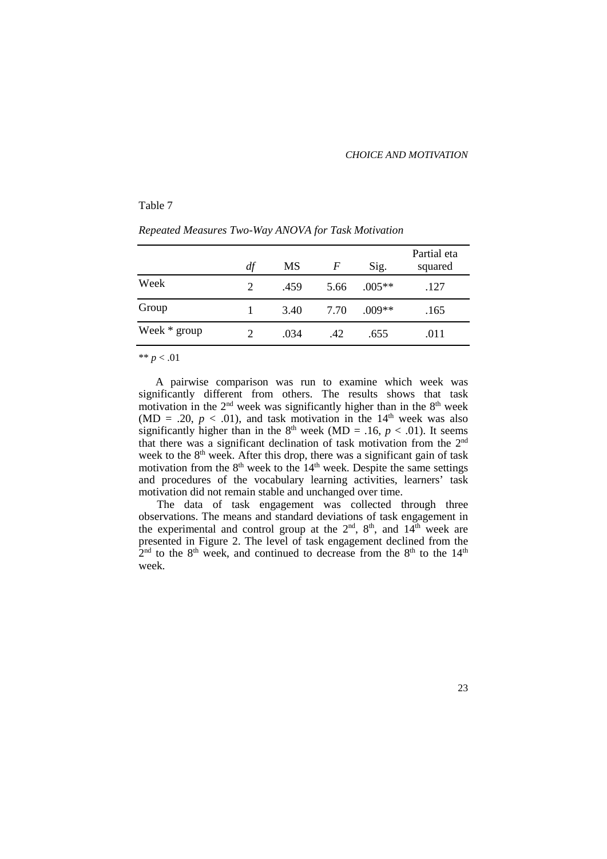23

#### Table 7

| Repeated Measures Two-Way ANOVA for Task Motivation |  |
|-----------------------------------------------------|--|
|                                                     |  |

|                | df                          | MS   | F    | Sig.     | Partial eta<br>squared |
|----------------|-----------------------------|------|------|----------|------------------------|
| Week           | $\mathcal{D}_{\mathcal{L}}$ | .459 | 5.66 | $.005**$ | .127                   |
| Group          |                             | 3.40 | 7.70 | $.009**$ | .165                   |
| Week $*$ group |                             | .034 | .42  | .655     | .011                   |

\*\* *p* < .01

A pairwise comparison was run to examine which week was significantly different from others. The results shows that task motivation in the 2<sup>nd</sup> week was significantly higher than in the 8<sup>th</sup> week (MD = .20,  $p < .01$ ), and task motivation in the 14<sup>th</sup> week was also significantly higher than in the  $8<sup>th</sup>$  week (MD = .16,  $p < .01$ ). It seems that there was a significant declination of task motivation from the 2nd week to the  $8<sup>th</sup>$  week. After this drop, there was a significant gain of task motivation from the  $8<sup>th</sup>$  week to the  $14<sup>th</sup>$  week. Despite the same settings and procedures of the vocabulary learning activities, learners' task motivation did not remain stable and unchanged over time.

The data of task engagement was collected through three observations. The means and standard deviations of task engagement in the experimental and control group at the  $2<sup>nd</sup>$ ,  $8<sup>th</sup>$ , and  $14<sup>th</sup>$  week are presented in Figure 2. The level of task engagement declined from the  $2<sup>nd</sup>$  to the 8<sup>th</sup> week, and continued to decrease from the 8<sup>th</sup> to the 14<sup>th</sup> week.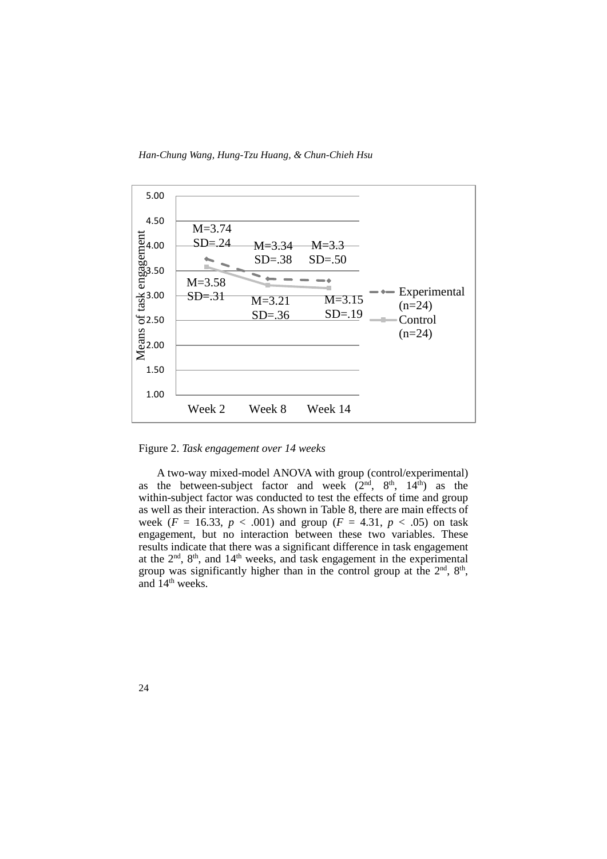*Han-Chung Wang, Hung-Tzu Huang, & Chun-Chieh Hsu*



Figure 2. *Task engagement over 14 weeks*

A two-way mixed-model ANOVA with group (control/experimental) as the between-subject factor and week  $(2<sup>nd</sup>, 8<sup>th</sup>, 14<sup>th</sup>)$  as the within-subject factor was conducted to test the effects of time and group as well as their interaction. As shown in Table 8, there are main effects of week ( $F = 16.33$ ,  $p < .001$ ) and group ( $F = 4.31$ ,  $p < .05$ ) on task engagement, but no interaction between these two variables. These results indicate that there was a significant difference in task engagement at the  $2<sup>nd</sup>$ ,  $8<sup>th</sup>$ , and  $14<sup>th</sup>$  weeks, and task engagement in the experimental group was significantly higher than in the control group at the  $2<sup>nd</sup>$ ,  $8<sup>th</sup>$ , and  $14<sup>th</sup>$  weeks.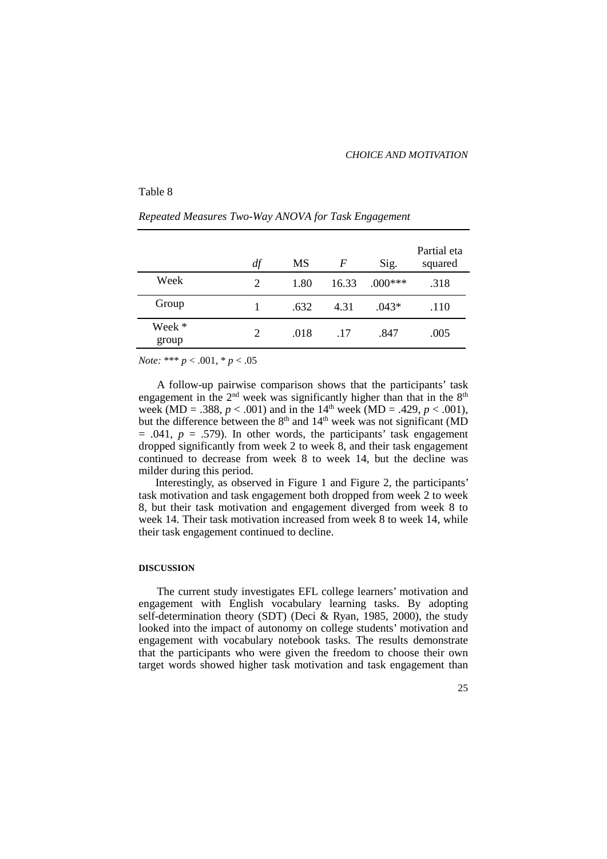#### Table 8

|                 | df | МS   | F     | Sig.      | Partial eta<br>squared |
|-----------------|----|------|-------|-----------|------------------------|
| Week            | 2  | 1.80 | 16.33 | $.000***$ | .318                   |
| Group           |    | .632 | 4.31  | $.043*$   | .110                   |
| Week *<br>group | 2  | .018 | .17   | .847      | .005                   |

#### *Repeated Measures Two-Way ANOVA for Task Engagement*

*Note:* \*\*\* *p* < .001, \* *p* < .05

A follow-up pairwise comparison shows that the participants' task engagement in the  $2<sup>nd</sup>$  week was significantly higher than that in the  $8<sup>th</sup>$ week (MD = .388,  $p < .001$ ) and in the 14<sup>th</sup> week (MD = .429,  $p < .001$ ), but the difference between the  $8<sup>th</sup>$  and  $14<sup>th</sup>$  week was not significant (MD  $= .041, p = .579$ . In other words, the participants' task engagement dropped significantly from week 2 to week 8, and their task engagement continued to decrease from week 8 to week 14, but the decline was milder during this period.

Interestingly, as observed in Figure 1 and Figure 2, the participants' task motivation and task engagement both dropped from week 2 to week 8, but their task motivation and engagement diverged from week 8 to week 14. Their task motivation increased from week 8 to week 14, while their task engagement continued to decline.

#### **DISCUSSION**

The current study investigates EFL college learners' motivation and engagement with English vocabulary learning tasks. By adopting self-determination theory (SDT) (Deci & Ryan, 1985, 2000), the study looked into the impact of autonomy on college students' motivation and engagement with vocabulary notebook tasks. The results demonstrate that the participants who were given the freedom to choose their own target words showed higher task motivation and task engagement than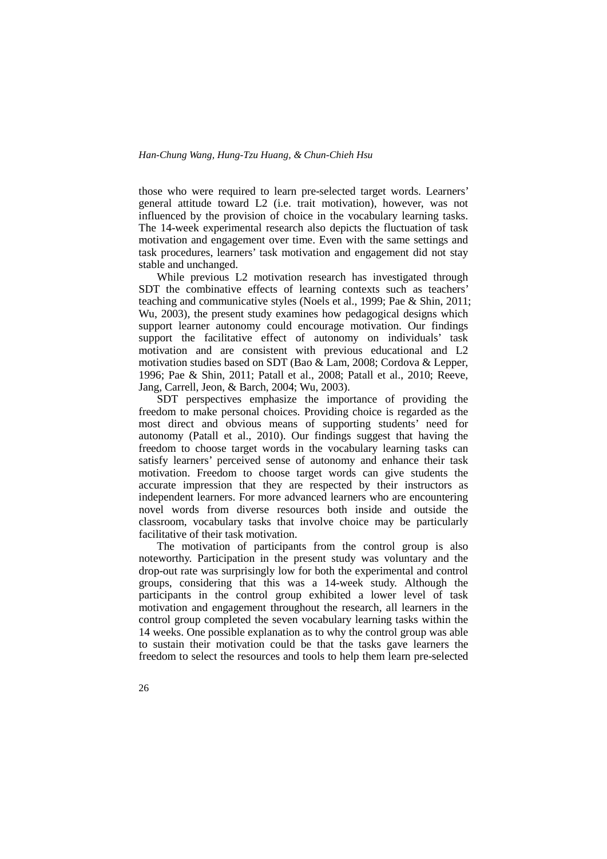those who were required to learn pre-selected target words. Learners' general attitude toward L2 (i.e. trait motivation), however, was not influenced by the provision of choice in the vocabulary learning tasks. The 14-week experimental research also depicts the fluctuation of task motivation and engagement over time. Even with the same settings and task procedures, learners' task motivation and engagement did not stay stable and unchanged.

While previous L2 motivation research has investigated through SDT the combinative effects of learning contexts such as teachers' teaching and communicative styles (Noels et al., 1999; Pae & Shin, 2011; Wu, 2003), the present study examines how pedagogical designs which support learner autonomy could encourage motivation. Our findings support the facilitative effect of autonomy on individuals' task motivation and are consistent with previous educational and L2 motivation studies based on SDT (Bao & Lam, 2008; Cordova & Lepper, 1996; Pae & Shin, 2011; Patall et al., 2008; Patall et al., 2010; Reeve, Jang, Carrell, Jeon, & Barch, 2004; Wu, 2003).

SDT perspectives emphasize the importance of providing the freedom to make personal choices. Providing choice is regarded as the most direct and obvious means of supporting students' need for autonomy (Patall et al., 2010). Our findings suggest that having the freedom to choose target words in the vocabulary learning tasks can satisfy learners' perceived sense of autonomy and enhance their task motivation. Freedom to choose target words can give students the accurate impression that they are respected by their instructors as independent learners. For more advanced learners who are encountering novel words from diverse resources both inside and outside the classroom, vocabulary tasks that involve choice may be particularly facilitative of their task motivation.

The motivation of participants from the control group is also noteworthy. Participation in the present study was voluntary and the drop-out rate was surprisingly low for both the experimental and control groups, considering that this was a 14-week study. Although the participants in the control group exhibited a lower level of task motivation and engagement throughout the research, all learners in the control group completed the seven vocabulary learning tasks within the 14 weeks. One possible explanation as to why the control group was able to sustain their motivation could be that the tasks gave learners the freedom to select the resources and tools to help them learn pre-selected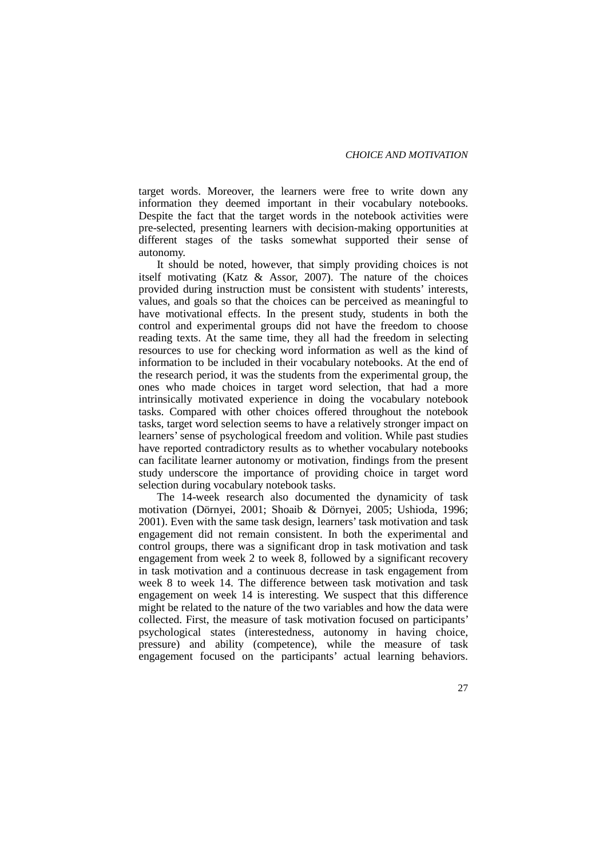target words. Moreover, the learners were free to write down any information they deemed important in their vocabulary notebooks. Despite the fact that the target words in the notebook activities were pre-selected, presenting learners with decision-making opportunities at different stages of the tasks somewhat supported their sense of autonomy.

It should be noted, however, that simply providing choices is not itself motivating (Katz & Assor, 2007). The nature of the choices provided during instruction must be consistent with students' interests, values, and goals so that the choices can be perceived as meaningful to have motivational effects. In the present study, students in both the control and experimental groups did not have the freedom to choose reading texts. At the same time, they all had the freedom in selecting resources to use for checking word information as well as the kind of information to be included in their vocabulary notebooks. At the end of the research period, it was the students from the experimental group, the ones who made choices in target word selection, that had a more intrinsically motivated experience in doing the vocabulary notebook tasks. Compared with other choices offered throughout the notebook tasks, target word selection seems to have a relatively stronger impact on learners'sense of psychological freedom and volition. While past studies have reported contradictory results as to whether vocabulary notebooks can facilitate learner autonomy or motivation, findings from the present study underscore the importance of providing choice in target word selection during vocabulary notebook tasks.

The 14-week research also documented the dynamicity of task motivation (Dörnyei, 2001; Shoaib & Dörnyei, 2005; Ushioda, 1996; 2001). Even with the same task design, learners' task motivation and task engagement did not remain consistent. In both the experimental and control groups, there was a significant drop in task motivation and task engagement from week 2 to week 8, followed by a significant recovery in task motivation and a continuous decrease in task engagement from week 8 to week 14. The difference between task motivation and task engagement on week 14 is interesting. We suspect that this difference might be related to the nature of the two variables and how the data were collected. First, the measure of task motivation focused on participants' psychological states (interestedness, autonomy in having choice, pressure) and ability (competence), while the measure of task engagement focused on the participants' actual learning behaviors.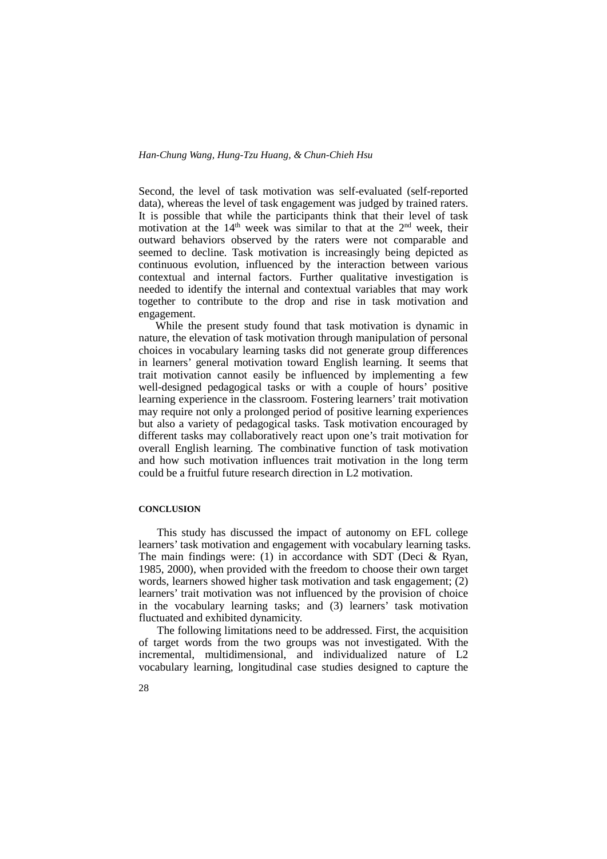Second, the level of task motivation was self-evaluated (self-reported data), whereas the level of task engagement was judged by trained raters. It is possible that while the participants think that their level of task motivation at the  $14<sup>th</sup>$  week was similar to that at the  $2<sup>nd</sup>$  week, their outward behaviors observed by the raters were not comparable and seemed to decline. Task motivation is increasingly being depicted as continuous evolution, influenced by the interaction between various contextual and internal factors. Further qualitative investigation is needed to identify the internal and contextual variables that may work together to contribute to the drop and rise in task motivation and engagement.

While the present study found that task motivation is dynamic in nature, the elevation of task motivation through manipulation of personal choices in vocabulary learning tasks did not generate group differences in learners' general motivation toward English learning. It seems that trait motivation cannot easily be influenced by implementing a few well-designed pedagogical tasks or with a couple of hours' positive learning experience in the classroom. Fostering learners' trait motivation may require not only a prolonged period of positive learning experiences but also a variety of pedagogical tasks. Task motivation encouraged by different tasks may collaboratively react upon one's trait motivation for overall English learning. The combinative function of task motivation and how such motivation influences trait motivation in the long term could be a fruitful future research direction in L2 motivation.

#### **CONCLUSION**

This study has discussed the impact of autonomy on EFL college learners' task motivation and engagement with vocabulary learning tasks. The main findings were: (1) in accordance with SDT (Deci  $\&$  Ryan, 1985, 2000), when provided with the freedom to choose their own target words, learners showed higher task motivation and task engagement; (2) learners' trait motivation was not influenced by the provision of choice in the vocabulary learning tasks; and (3) learners' task motivation fluctuated and exhibited dynamicity.

The following limitations need to be addressed. First, the acquisition of target words from the two groups was not investigated. With the incremental, multidimensional, and individualized nature of L2 vocabulary learning, longitudinal case studies designed to capture the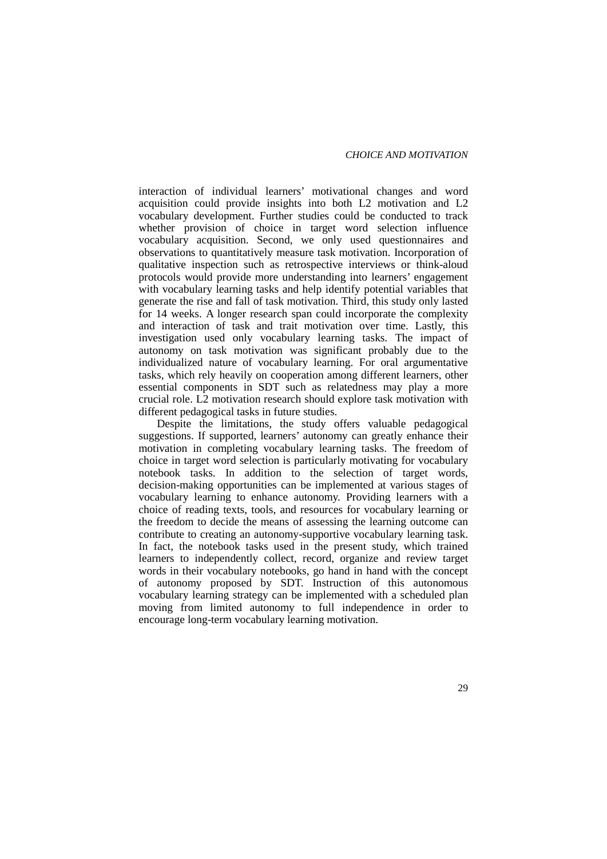interaction of individual learners' motivational changes and word acquisition could provide insights into both L2 motivation and L2 vocabulary development. Further studies could be conducted to track whether provision of choice in target word selection influence vocabulary acquisition. Second, we only used questionnaires and observations to quantitatively measure task motivation. Incorporation of qualitative inspection such as retrospective interviews or think-aloud protocols would provide more understanding into learners' engagement with vocabulary learning tasks and help identify potential variables that generate the rise and fall of task motivation. Third, this study only lasted for 14 weeks. A longer research span could incorporate the complexity and interaction of task and trait motivation over time. Lastly, this investigation used only vocabulary learning tasks. The impact of autonomy on task motivation was significant probably due to the individualized nature of vocabulary learning. For oral argumentative tasks, which rely heavily on cooperation among different learners, other essential components in SDT such as relatedness may play a more crucial role. L2 motivation research should explore task motivation with different pedagogical tasks in future studies.

Despite the limitations, the study offers valuable pedagogical suggestions. If supported, learners' autonomy can greatly enhance their motivation in completing vocabulary learning tasks. The freedom of choice in target word selection is particularly motivating for vocabulary notebook tasks. In addition to the selection of target words, decision-making opportunities can be implemented at various stages of vocabulary learning to enhance autonomy. Providing learners with a choice of reading texts, tools, and resources for vocabulary learning or the freedom to decide the means of assessing the learning outcome can contribute to creating an autonomy-supportive vocabulary learning task. In fact, the notebook tasks used in the present study, which trained learners to independently collect, record, organize and review target words in their vocabulary notebooks, go hand in hand with the concept of autonomy proposed by SDT. Instruction of this autonomous vocabulary learning strategy can be implemented with a scheduled plan moving from limited autonomy to full independence in order to encourage long-term vocabulary learning motivation.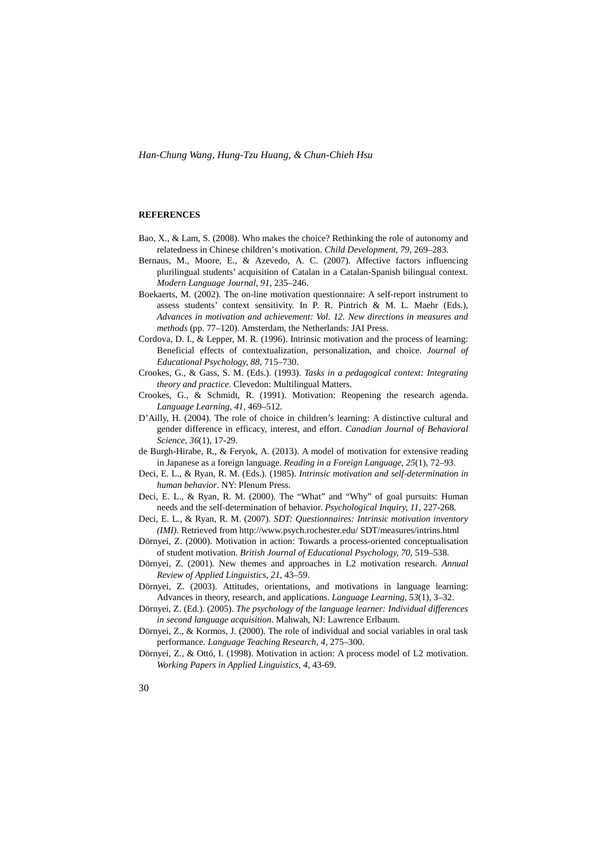#### **REFERENCES**

- Bao, X., & Lam, S. (2008). Who makes the choice? Rethinking the role of autonomy and relatedness in Chinese children's motivation. *Child Development, 79*, 269–283.
- Bernaus, M., Moore, E., & Azevedo, A. C. (2007). Affective factors influencing plurilingual students' acquisition of Catalan in a Catalan-Spanish bilingual context. *Modern Language Journal, 91*, 235–246.
- Boekaerts, M. (2002). The on-line motivation questionnaire: A self-report instrument to assess students' context sensitivity. In P. R. Pintrich & M. L. Maehr (Eds.), *Advances in motivation and achievement: Vol. 12. New directions in measures and methods* (pp. 77–120). Amsterdam, the Netherlands: JAI Press.
- Cordova, D. I., & Lepper, M. R. (1996). Intrinsic motivation and the process of learning: Beneficial effects of contextualization, personalization, and choice. *Journal of Educational Psychology, 88*, 715–730.
- Crookes, G., & Gass, S. M. (Eds.). (1993). *Tasks in a pedagogical context: Integrating theory and practice*. Clevedon: Multilingual Matters.
- Crookes, G., & Schmidt, R. (1991). Motivation: Reopening the research agenda. *Language Learning, 41*, 469–512.
- D'Ailly, H. (2004). The role of choice in children's learning: A distinctive cultural and gender difference in efficacy, interest, and effort. *Canadian Journal of Behavioral Science*, *36*(1), 17-29.
- de Burgh-Hirabe, R., & Feryok, A. (2013). A model of motivation for extensive reading in Japanese as a foreign language. *Reading in a Foreign Language*, *25*(1), 72–93.
- Deci, E. L., & Ryan, R. M. (Eds.). (1985). *Intrinsic motivation and self-determination in human behavior*. NY: Plenum Press.
- Deci, E. L., & Ryan, R. M. (2000). The "What" and "Why" of goal pursuits: Human needs and the self-determination of behavior. *Psychological Inquiry, 11*, 227-268.
- Deci, E. L., & Ryan, R. M. (2007). *SDT: Questionnaires: Intrinsic motivation inventory (IMI)*. Retrieved from http://www.psych.rochester.edu/ SDT/measures/intrins.html
- Dörnyei, Z. (2000). Motivation in action: Towards a process-oriented conceptualisation of student motivation. *British Journal of Educational Psychology, 70*, 519–538.
- Dörnyei, Z. (2001). New themes and approaches in L2 motivation research. *Annual Review of Applied Linguistics, 21*, 43–59.
- Dörnyei, Z. (2003). Attitudes, orientations, and motivations in language learning: Advances in theory, research, and applications. *Language Learning, 53*(1), 3–32.
- Dörnyei, Z. (Ed.). (2005). *The psychology of the language learner: Individual differences in second language acquisition*. Mahwah, NJ: Lawrence Erlbaum.
- Dörnyei, Z., & Kormos, J. (2000). The role of individual and social variables in oral task performance. *Language Teaching Research, 4*, 275–300.
- Dörnyei, Z., & Ottó, I. (1998). Motivation in action: A process model of L2 motivation. *Working Papers in Applied Linguistics, 4*, 43-69.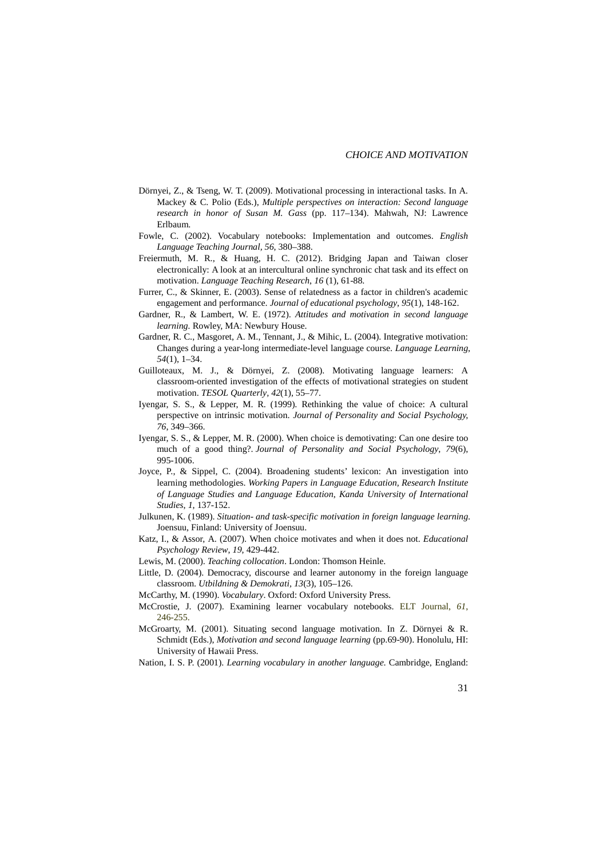- Dörnyei, Z., & Tseng, W. T. (2009). Motivational processing in interactional tasks. In A. Mackey & C. Polio (Eds.), *Multiple perspectives on interaction: Second language research in honor of Susan M. Gass* (pp. 117–134). Mahwah, NJ: Lawrence Erlbaum.
- Fowle, C. (2002). Vocabulary notebooks: Implementation and outcomes. *English Language Teaching Journal, 56*, 380–388.
- Freiermuth, M. R., & Huang, H. C. (2012). Bridging Japan and Taiwan closer electronically: A look at an intercultural online synchronic chat task and its effect on motivation. *Language Teaching Research*, *16* (1), 61-88.
- Furrer, C., & Skinner, E. (2003). Sense of relatedness as a factor in children's academic engagement and performance. *Journal of educational psychology*, *95*(1), 148-162.
- Gardner, R., & Lambert, W. E. (1972). *Attitudes and motivation in second language learning.* Rowley, MA: Newbury House.
- Gardner, R. C., Masgoret, A. M., Tennant, J., & Mihic, L. (2004). Integrative motivation: Changes during a year-long intermediate-level language course. *Language Learning*, *54*(1), 1–34.
- Guilloteaux, M. J., & Dörnyei, Z. (2008). Motivating language learners: A classroom-oriented investigation of the effects of motivational strategies on student motivation. *TESOL Quarterly, 42*(1), 55–77.
- Iyengar, S. S., & Lepper, M. R. (1999). Rethinking the value of choice: A cultural perspective on intrinsic motivation. *Journal of Personality and Social Psychology, 76*, 349–366.
- Iyengar, S. S., & Lepper, M. R. (2000). When choice is demotivating: Can one desire too much of a good thing?. *Journal of Personality and Social Psychology*, *79*(6), 995-1006.
- Joyce, P., & Sippel, C. (2004). Broadening students' lexicon: An investigation into learning methodologies. *Working Papers in Language Education, Research Institute of Language Studies and Language Education*, *Kanda University of International Studies*, *1*, 137-152.
- Julkunen, K. (1989). *Situation- and task-specific motivation in foreign language learning*. Joensuu, Finland: University of Joensuu.
- Katz, I., & Assor, A. (2007). When choice motivates and when it does not. *Educational Psychology Review*, *19*, 429-442.
- Lewis, M. (2000). *Teaching collocation*. London: Thomson Heinle.
- Little, D. (2004). Democracy, discourse and learner autonomy in the foreign language classroom. *Utbildning & Demokrati, 13*(3), 105–126.
- McCarthy, M. (1990). *Vocabulary*. Oxford: Oxford University Press.
- McCrostie, J. (2007). Examining learner vocabulary notebooks. ELT Journal, *61*, 246-255.
- McGroarty, M. (2001). Situating second language motivation. In Z. Dörnyei & R. Schmidt (Eds.), *Motivation and second language learning* (pp.69-90). Honolulu, HI: University of Hawaii Press.

Nation, I. S. P. (2001). *Learning vocabulary in another language*. Cambridge, England: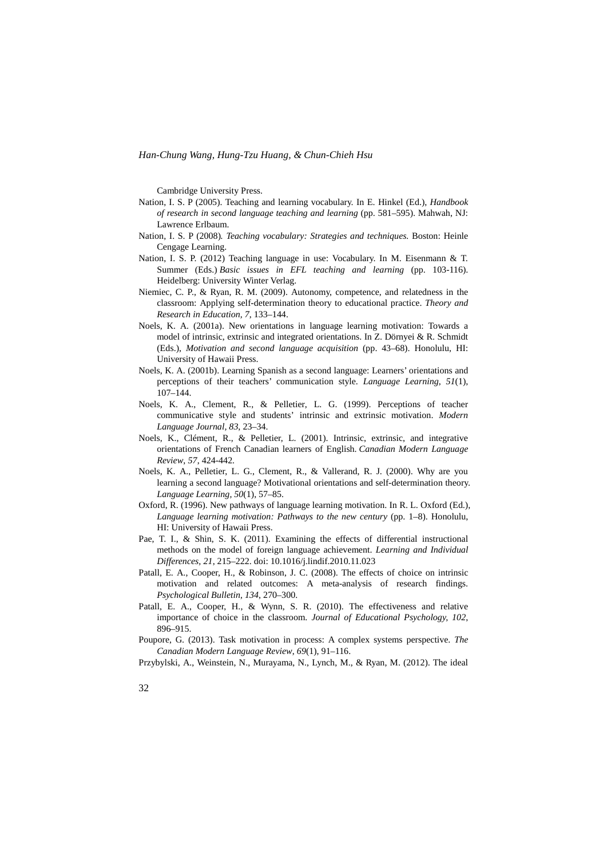Cambridge University Press.

- Nation, I. S. P (2005). Teaching and learning vocabulary. In E. Hinkel (Ed.), *Handbook of research in second language teaching and learning* (pp. 581–595). Mahwah, NJ: Lawrence Erlbaum.
- Nation, I. S. P (2008)*. Teaching vocabulary: Strategies and techniques.* Boston: Heinle Cengage Learning.
- Nation, I. S. P. (2012) Teaching language in use: Vocabulary. In M. Eisenmann & T. Summer (Eds.) *Basic issues in EFL teaching and learning* (pp. 103-116). Heidelberg: University Winter Verlag.
- Niemiec, C. P., & Ryan, R. M. (2009). Autonomy, competence, and relatedness in the classroom: Applying self-determination theory to educational practice. *Theory and Research in Education, 7*, 133–144.
- Noels, K. A. (2001a). New orientations in language learning motivation: Towards a model of intrinsic, extrinsic and integrated orientations. In Z. Dörnyei & R. Schmidt (Eds.), *Motivation and second language acquisition* (pp. 43–68). Honolulu, HI: University of Hawaii Press.
- Noels, K. A. (2001b). Learning Spanish as a second language: Learners' orientations and perceptions of their teachers' communication style. *Language Learning*, *51*(1), 107–144.
- Noels, K. A., Clement, R., & Pelletier, L. G. (1999). Perceptions of teacher communicative style and students' intrinsic and extrinsic motivation. *Modern Language Journal, 83*, 23–34.
- Noels, K., Clément, R., & Pelletier, L. (2001). Intrinsic, extrinsic, and integrative orientations of French Canadian learners of English. *Canadian Modern Language Review*, *57*, 424-442.
- Noels, K. A., Pelletier, L. G., Clement, R., & Vallerand, R. J. (2000). Why are you learning a second language? Motivational orientations and self-determination theory. *Language Learning, 50*(1), 57–85.
- Oxford, R. (1996). New pathways of language learning motivation. In R. L. Oxford (Ed.), *Language learning motivation: Pathways to the new century* (pp. 1–8). Honolulu, HI: University of Hawaii Press.
- Pae, T. I., & Shin, S. K. (2011). Examining the effects of differential instructional methods on the model of foreign language achievement. *Learning and Individual Differences, 21*, 215–222. doi: 10.1016/j.lindif.2010.11.023
- Patall, E. A., Cooper, H., & Robinson, J. C. (2008). The effects of choice on intrinsic motivation and related outcomes: A meta-analysis of research findings. *Psychological Bulletin, 134*, 270–300.
- Patall, E. A., Cooper, H., & Wynn, S. R. (2010). The effectiveness and relative importance of choice in the classroom. *Journal of Educational Psychology, 102*, 896–915.
- Poupore, G. (2013). Task motivation in process: A complex systems perspective. *The Canadian Modern Language Review*, *69*(1), 91–116.

Przybylski, A., Weinstein, N., Murayama, N., Lynch, M., & Ryan, M. (2012). The ideal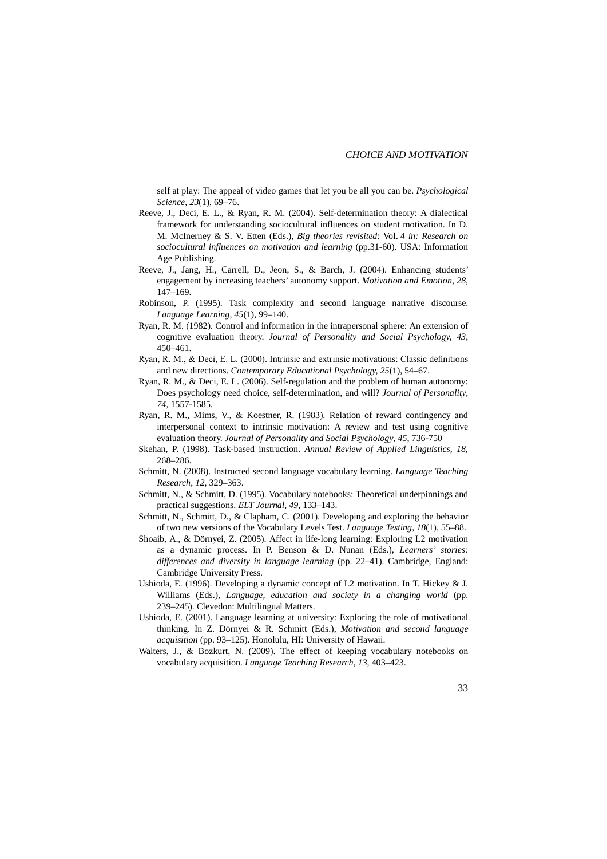self at play: The appeal of video games that let you be all you can be. *Psychological Science, 23*(1), 69–76.

- Reeve, J., Deci, E. L., & Ryan, R. M. (2004). Self-determination theory: A dialectical framework for understanding sociocultural influences on student motivation. In D. M. McInerney & S. V. Etten (Eds.), *Big theories revisited*: Vol. *4 in: Research on sociocultural influences on motivation and learning* (pp.31-60). USA: Information Age Publishing.
- Reeve, J., Jang, H., Carrell, D., Jeon, S., & Barch, J. (2004). Enhancing students' engagement by increasing teachers' autonomy support. *Motivation and Emotion, 28*, 147–169.
- Robinson, P. (1995). Task complexity and second language narrative discourse. *Language Learning, 45*(1), 99–140.
- Ryan, R. M. (1982). Control and information in the intrapersonal sphere: An extension of cognitive evaluation theory. *Journal of Personality and Social Psychology, 43*, 450–461.
- Ryan, R. M., & Deci, E. L. (2000). Intrinsic and extrinsic motivations: Classic definitions and new directions. *Contemporary Educational Psychology, 25*(1), 54–67.
- Ryan, R. M., & Deci, E. L. (2006). Self-regulation and the problem of human autonomy: Does psychology need choice, self-determination, and will? *Journal of Personality, 74,* 1557-1585.
- Ryan, R. M., Mims, V., & Koestner, R. (1983). Relation of reward contingency and interpersonal context to intrinsic motivation: A review and test using cognitive evaluation theory. *Journal of Personality and Social Psychology*, *45*, 736-750
- Skehan, P. (1998). Task-based instruction. *Annual Review of Applied Linguistics, 18*, 268–286.
- Schmitt, N. (2008). Instructed second language vocabulary learning. *Language Teaching Research, 12*, 329–363.
- Schmitt, N., & Schmitt, D. (1995). Vocabulary notebooks: Theoretical underpinnings and practical suggestions. *ELT Journal, 49*, 133–143.
- Schmitt, N., Schmitt, D., & Clapham, C. (2001). Developing and exploring the behavior of two new versions of the Vocabulary Levels Test. *Language Testing, 18*(1), 55–88.
- Shoaib, A., & Dörnyei, Z. (2005). Affect in life-long learning: Exploring L2 motivation as a dynamic process. In P. Benson & D. Nunan (Eds.), *Learners' stories: differences and diversity in language learning* (pp. 22–41). Cambridge, England: Cambridge University Press.
- Ushioda, E. (1996). Developing a dynamic concept of L2 motivation. In T. Hickey & J. Williams (Eds.), *Language, education and society in a changing world* (pp. 239–245). Clevedon: Multilingual Matters.
- Ushioda, E. (2001). Language learning at university: Exploring the role of motivational thinking. In Z. Dörnyei & R. Schmitt (Eds.), *Motivation and second language acquisition* (pp. 93–125). Honolulu, HI: University of Hawaii.
- Walters, J., & Bozkurt, N. (2009). The effect of keeping vocabulary notebooks on vocabulary acquisition. *Language Teaching Research, 13*, 403–423.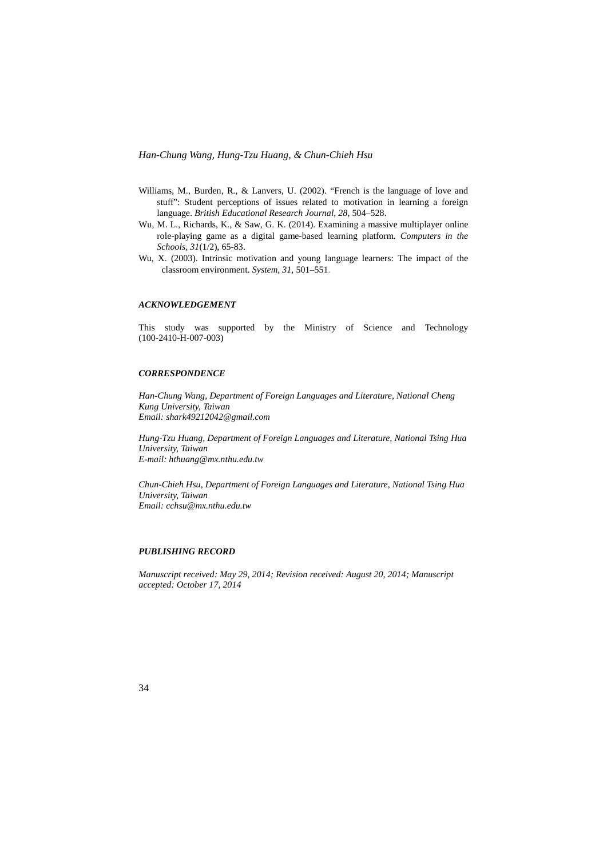- Williams, M., Burden, R., & Lanvers, U. (2002). "French is the language of love and stuff": Student perceptions of issues related to motivation in learning a foreign language. *British Educational Research Journal*, *28*, 504–528.
- Wu, M. L., Richards, K., & Saw, G. K. (2014). Examining a massive multiplayer online role-playing game as a digital game-based learning platform. *Computers in the Schools, 31*(1/2), 65-83.
- Wu, X. (2003). Intrinsic motivation and young language learners: The impact of the classroom environment. *System, 31*, 501–551.

#### *ACKNOWLEDGEMENT*

This study was supported by the Ministry of Science and Technology (100-2410-H-007-003)

#### *CORRESPONDENCE*

*Han-Chung Wang, Department of Foreign Languages and Literature, National Cheng Kung University, Taiwan Email: shark49212042@gmail.com*

*Hung-Tzu Huang, Department of Foreign Languages and Literature, National Tsing Hua University, Taiwan E-mail: hthuang@mx.nthu.edu.tw*

*Chun-Chieh Hsu, Department of Foreign Languages and Literature, National Tsing Hua University, Taiwan Email: cchsu@mx.nthu.edu.tw*

#### *PUBLISHING RECORD*

*Manuscript received: May 29, 2014; Revision received: August 20, 2014; Manuscript accepted: October 17, 2014*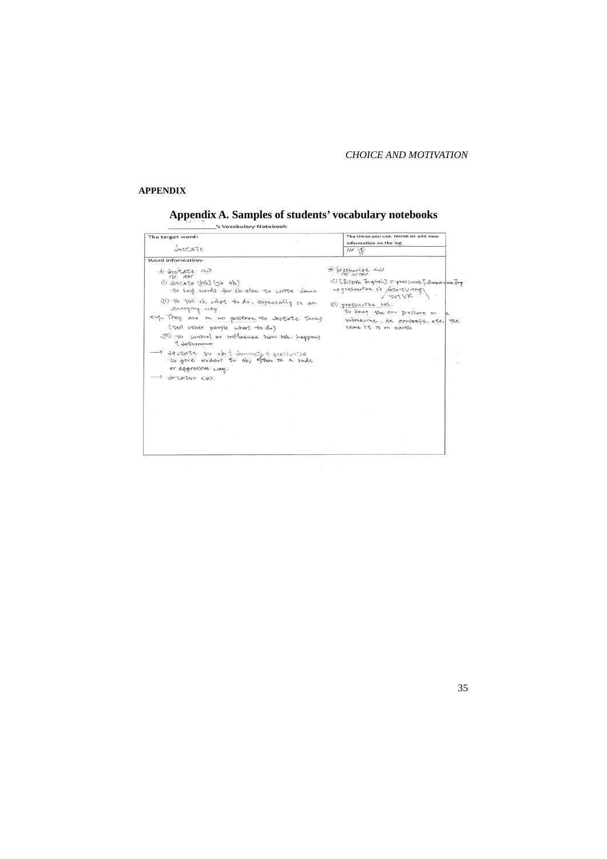#### *CHOICE AND MOTIVATION*

#### **APPENDIX**

# **Appendix A. Samples of students' vocabulary notebooks**

| The target word:                                                                                         | The times you use, revise or add new                     |
|----------------------------------------------------------------------------------------------------------|----------------------------------------------------------|
|                                                                                                          | information on the log                                   |
| orctate                                                                                                  | $III \rightarrow$                                        |
| Word information:                                                                                        |                                                          |
| * trotate ar.<br>ru wi                                                                                   | * pressurize <v></v>                                     |
| (1) drotate (bth) (to sb)                                                                                | (S) [Britash Tongvish] = pressure [Brown dan Tong        |
| to say words for sh else to write down                                                                   | -> pressurine sto forth=tV-they                          |
| IT to tell sb, what to do, espectally on an<br>annoying way                                              | 1) pressurize sth.                                       |
| eng They are in no position to drotate terms                                                             | to keep when r pressure m . p                            |
| (tell other perple what to do)                                                                           | submarine, an arrorafit, etc. The<br>bame It is on earth |
| it'll to control or trothence how boh. happens<br><i>3.</i> Jetermonie                                   |                                                          |
| - diferente to shit dominate t pressurize<br>to give orders to sb, often in a nide<br>or aggressive way. |                                                          |
| -) dreatur cn7.                                                                                          |                                                          |
|                                                                                                          |                                                          |
|                                                                                                          |                                                          |
|                                                                                                          |                                                          |
|                                                                                                          |                                                          |
|                                                                                                          |                                                          |
|                                                                                                          |                                                          |
|                                                                                                          |                                                          |
|                                                                                                          |                                                          |
|                                                                                                          |                                                          |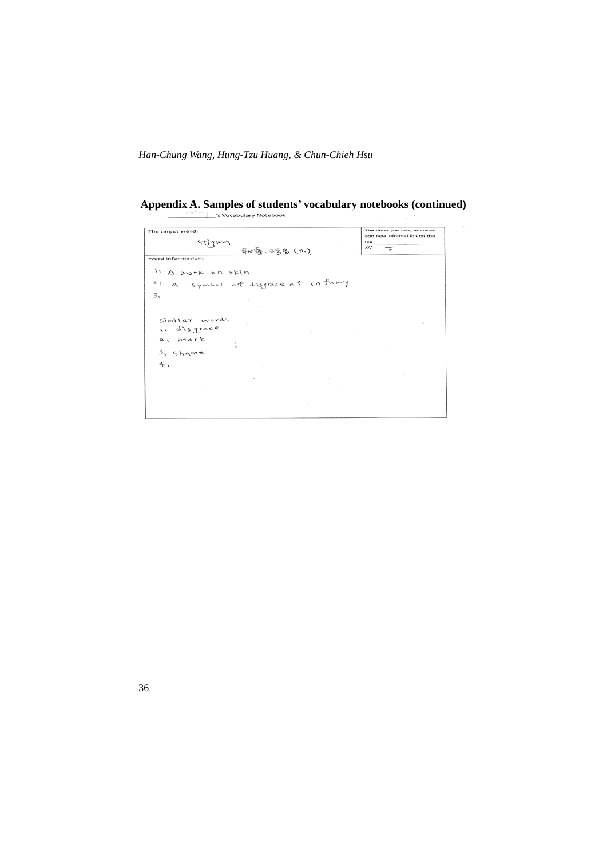## **Appendix A. Samples of students' vocabulary notebooks (continued)**

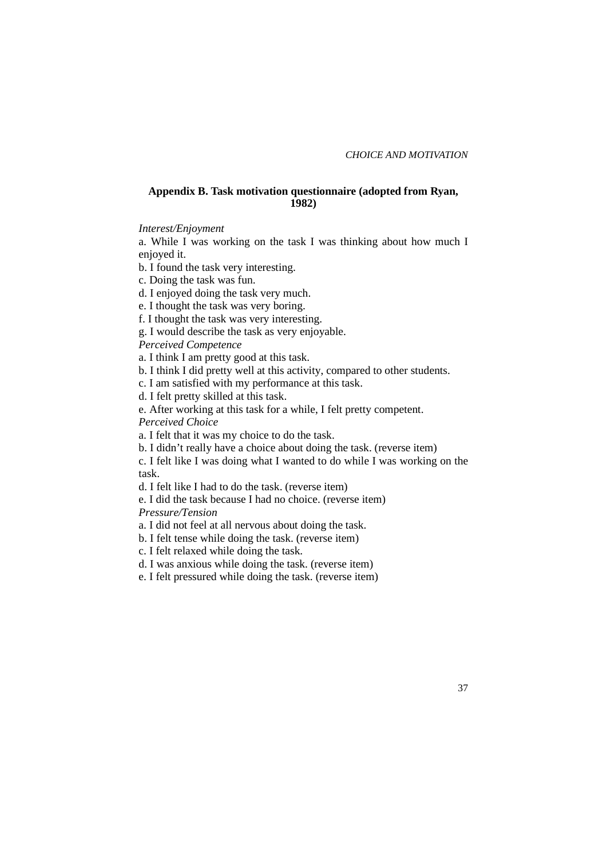#### **Appendix B. Task motivation questionnaire (adopted from Ryan, 1982)**

*Interest/Enjoyment*

a. While I was working on the task I was thinking about how much I enjoyed it.

b. I found the task very interesting.

c. Doing the task was fun.

d. I enjoyed doing the task very much.

e. I thought the task was very boring.

f. I thought the task was very interesting.

g. I would describe the task as very enjoyable.

*Perceived Competence*

a. I think I am pretty good at this task.

b. I think I did pretty well at this activity, compared to other students.

c. I am satisfied with my performance at this task.

d. I felt pretty skilled at this task.

e. After working at this task for a while, I felt pretty competent.

*Perceived Choice*

a. I felt that it was my choice to do the task.

b. I didn't really have a choice about doing the task. (reverse item)

c. I felt like I was doing what I wanted to do while I was working on the task.

d. I felt like I had to do the task. (reverse item)

e. I did the task because I had no choice. (reverse item)

*Pressure/Tension*

a. I did not feel at all nervous about doing the task.

b. I felt tense while doing the task. (reverse item)

c. I felt relaxed while doing the task.

d. I was anxious while doing the task. (reverse item)

e. I felt pressured while doing the task. (reverse item)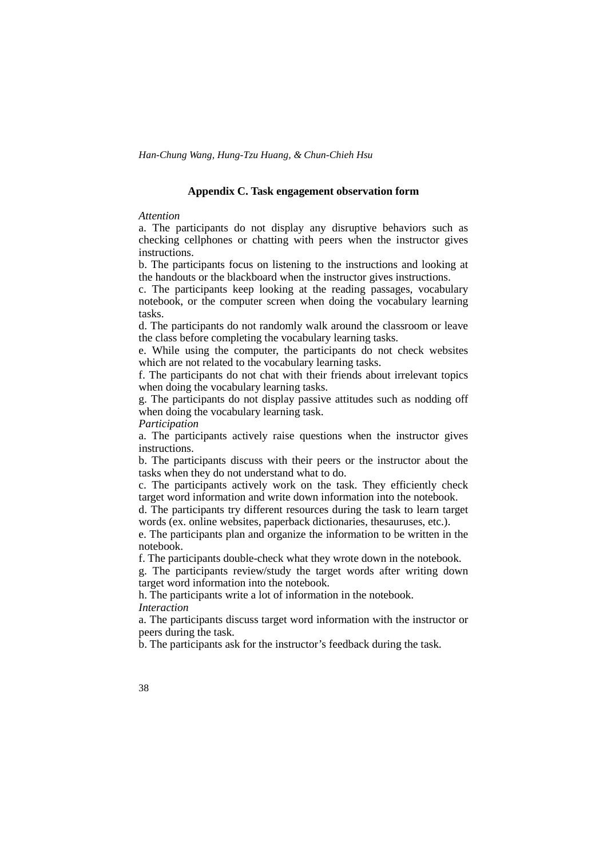#### **Appendix C. Task engagement observation form**

#### *Attention*

a. The participants do not display any disruptive behaviors such as checking cellphones or chatting with peers when the instructor gives instructions.

b. The participants focus on listening to the instructions and looking at the handouts or the blackboard when the instructor gives instructions.

c. The participants keep looking at the reading passages, vocabulary notebook, or the computer screen when doing the vocabulary learning tasks.

d. The participants do not randomly walk around the classroom or leave the class before completing the vocabulary learning tasks.

e. While using the computer, the participants do not check websites which are not related to the vocabulary learning tasks.

f. The participants do not chat with their friends about irrelevant topics when doing the vocabulary learning tasks.

g. The participants do not display passive attitudes such as nodding off when doing the vocabulary learning task.

*Participation* 

a. The participants actively raise questions when the instructor gives instructions.

b. The participants discuss with their peers or the instructor about the tasks when they do not understand what to do.

c. The participants actively work on the task. They efficiently check target word information and write down information into the notebook.

d. The participants try different resources during the task to learn target words (ex. online websites, paperback dictionaries, thesauruses, etc.).

e. The participants plan and organize the information to be written in the notebook.

f. The participants double-check what they wrote down in the notebook.

g. The participants review/study the target words after writing down target word information into the notebook.

h. The participants write a lot of information in the notebook. *Interaction* 

a. The participants discuss target word information with the instructor or peers during the task.

b. The participants ask for the instructor's feedback during the task.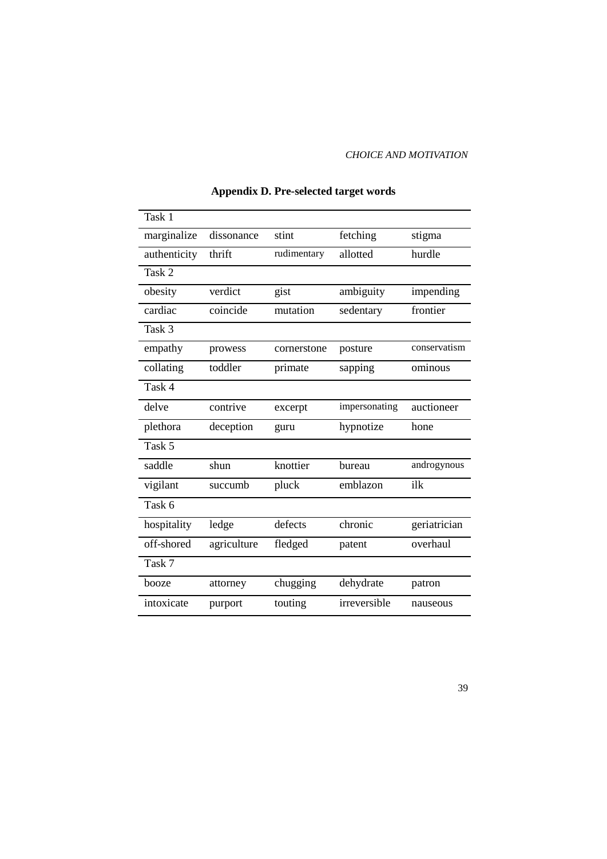#### *CHOICE AND MOTIVATION*

| Task 1       |             |             |               |              |
|--------------|-------------|-------------|---------------|--------------|
| marginalize  | dissonance  | stint       | fetching      | stigma       |
| authenticity | thrift      | rudimentary | allotted      | hurdle       |
| Task 2       |             |             |               |              |
| obesity      | verdict     | gist        | ambiguity     | impending    |
| cardiac      | coincide    | mutation    | sedentary     | frontier     |
| Task 3       |             |             |               |              |
| empathy      | prowess     | cornerstone | posture       | conservatism |
| collating    | toddler     | primate     | sapping       | ominous      |
| Task 4       |             |             |               |              |
| delve        | contrive    | excerpt     | impersonating | auctioneer   |
| plethora     | deception   | guru        | hypnotize     | hone         |
| Task 5       |             |             |               |              |
| saddle       | shun        | knottier    | bureau        | androgynous  |
| vigilant     | succumb     | pluck       | emblazon      | ilk          |
| Task 6       |             |             |               |              |
| hospitality  | ledge       | defects     | chronic       | geriatrician |
| off-shored   | agriculture | fledged     | patent        | overhaul     |
| Task 7       |             |             |               |              |
| booze        | attorney    | chugging    | dehydrate     | patron       |
| intoxicate   | purport     | touting     | irreversible  | nauseous     |

### **Appendix D. Pre-selected target words**